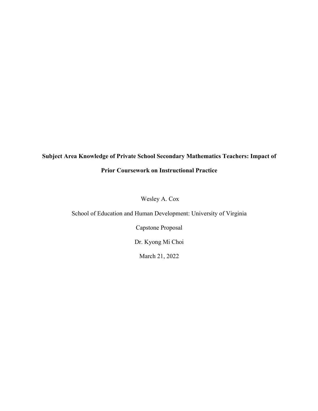# **Subject Area Knowledge of Private School Secondary Mathematics Teachers: Impact of Prior Coursework on Instructional Practice**

Wesley A. Cox

School of Education and Human Development: University of Virginia

Capstone Proposal

Dr. Kyong Mi Choi

March 21, 2022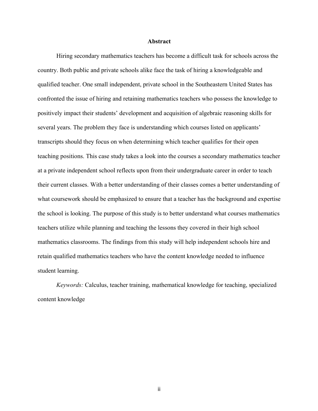#### **Abstract**

Hiring secondary mathematics teachers has become a difficult task for schools across the country. Both public and private schools alike face the task of hiring a knowledgeable and qualified teacher. One small independent, private school in the Southeastern United States has confronted the issue of hiring and retaining mathematics teachers who possess the knowledge to positively impact their students' development and acquisition of algebraic reasoning skills for several years. The problem they face is understanding which courses listed on applicants' transcripts should they focus on when determining which teacher qualifies for their open teaching positions. This case study takes a look into the courses a secondary mathematics teacher at a private independent school reflects upon from their undergraduate career in order to teach their current classes. With a better understanding of their classes comes a better understanding of what coursework should be emphasized to ensure that a teacher has the background and expertise the school is looking. The purpose of this study is to better understand what courses mathematics teachers utilize while planning and teaching the lessons they covered in their high school mathematics classrooms. The findings from this study will help independent schools hire and retain qualified mathematics teachers who have the content knowledge needed to influence student learning.

*Keywords:* Calculus, teacher training, mathematical knowledge for teaching, specialized content knowledge

ii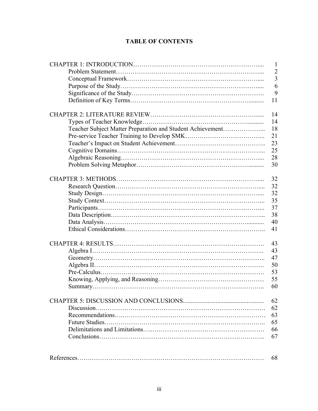## **TABLE OF CONTENTS**

|                                                            | $\mathbf{1}$   |
|------------------------------------------------------------|----------------|
|                                                            | $\overline{2}$ |
|                                                            | 3              |
|                                                            | 6              |
|                                                            | 9              |
|                                                            | 11             |
|                                                            | 14             |
|                                                            | 14             |
| Teacher Subject Matter Preparation and Student Achievement | 18             |
|                                                            | 21             |
|                                                            | 23             |
|                                                            | 25             |
|                                                            | 28             |
|                                                            | 30             |
|                                                            | 32             |
|                                                            | 32             |
|                                                            | 32             |
|                                                            | 35             |
|                                                            | 37             |
|                                                            | 38             |
|                                                            | 40             |
|                                                            | 41             |
|                                                            | 43             |
|                                                            | 43             |
|                                                            | 47             |
|                                                            | 50             |
|                                                            | 53             |
|                                                            | 55             |
|                                                            | 60             |
|                                                            | 62             |
|                                                            | 62             |
|                                                            | 63             |
|                                                            | 65             |
|                                                            | 66             |
|                                                            | 67             |
|                                                            | 68             |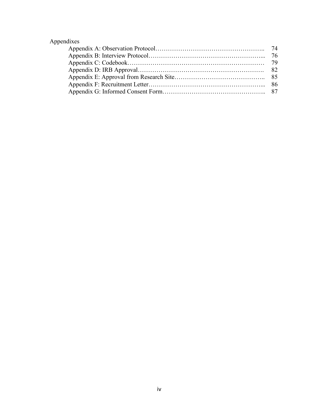## Appendixes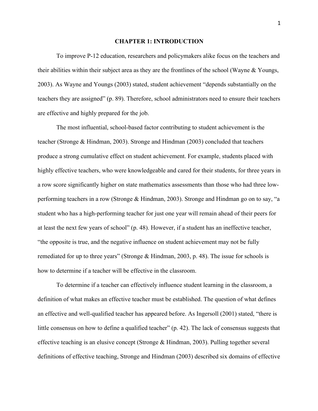#### **CHAPTER 1: INTRODUCTION**

To improve P-12 education, researchers and policymakers alike focus on the teachers and their abilities within their subject area as they are the frontlines of the school (Wayne & Youngs, 2003). As Wayne and Youngs (2003) stated, student achievement "depends substantially on the teachers they are assigned" (p. 89). Therefore, school administrators need to ensure their teachers are effective and highly prepared for the job.

The most influential, school-based factor contributing to student achievement is the teacher (Stronge & Hindman, 2003). Stronge and Hindman (2003) concluded that teachers produce a strong cumulative effect on student achievement. For example, students placed with highly effective teachers, who were knowledgeable and cared for their students, for three years in a row score significantly higher on state mathematics assessments than those who had three lowperforming teachers in a row (Stronge & Hindman, 2003). Stronge and Hindman go on to say, "a student who has a high-performing teacher for just one year will remain ahead of their peers for at least the next few years of school" (p. 48). However, if a student has an ineffective teacher, "the opposite is true, and the negative influence on student achievement may not be fully remediated for up to three years" (Stronge & Hindman, 2003, p. 48). The issue for schools is how to determine if a teacher will be effective in the classroom.

To determine if a teacher can effectively influence student learning in the classroom, a definition of what makes an effective teacher must be established. The question of what defines an effective and well-qualified teacher has appeared before. As Ingersoll (2001) stated, "there is little consensus on how to define a qualified teacher" (p. 42). The lack of consensus suggests that effective teaching is an elusive concept (Stronge & Hindman, 2003). Pulling together several definitions of effective teaching, Stronge and Hindman (2003) described six domains of effective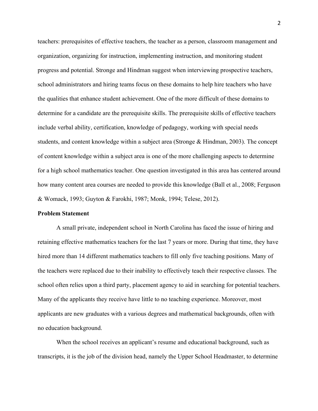teachers: prerequisites of effective teachers, the teacher as a person, classroom management and organization, organizing for instruction, implementing instruction, and monitoring student progress and potential. Stronge and Hindman suggest when interviewing prospective teachers, school administrators and hiring teams focus on these domains to help hire teachers who have the qualities that enhance student achievement. One of the more difficult of these domains to determine for a candidate are the prerequisite skills. The prerequisite skills of effective teachers include verbal ability, certification, knowledge of pedagogy, working with special needs students, and content knowledge within a subject area (Stronge & Hindman, 2003). The concept of content knowledge within a subject area is one of the more challenging aspects to determine for a high school mathematics teacher. One question investigated in this area has centered around how many content area courses are needed to provide this knowledge (Ball et al., 2008; Ferguson & Womack, 1993; Guyton & Farokhi, 1987; Monk, 1994; Telese, 2012).

#### **Problem Statement**

A small private, independent school in North Carolina has faced the issue of hiring and retaining effective mathematics teachers for the last 7 years or more. During that time, they have hired more than 14 different mathematics teachers to fill only five teaching positions. Many of the teachers were replaced due to their inability to effectively teach their respective classes. The school often relies upon a third party, placement agency to aid in searching for potential teachers. Many of the applicants they receive have little to no teaching experience. Moreover, most applicants are new graduates with a various degrees and mathematical backgrounds, often with no education background.

When the school receives an applicant's resume and educational background, such as transcripts, it is the job of the division head, namely the Upper School Headmaster, to determine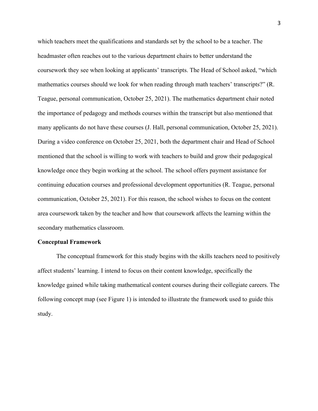which teachers meet the qualifications and standards set by the school to be a teacher. The headmaster often reaches out to the various department chairs to better understand the coursework they see when looking at applicants' transcripts. The Head of School asked, "which mathematics courses should we look for when reading through math teachers' transcripts?" (R. Teague, personal communication, October 25, 2021). The mathematics department chair noted the importance of pedagogy and methods courses within the transcript but also mentioned that many applicants do not have these courses (J. Hall, personal communication, October 25, 2021). During a video conference on October 25, 2021, both the department chair and Head of School mentioned that the school is willing to work with teachers to build and grow their pedagogical knowledge once they begin working at the school. The school offers payment assistance for continuing education courses and professional development opportunities (R. Teague, personal communication, October 25, 2021). For this reason, the school wishes to focus on the content area coursework taken by the teacher and how that coursework affects the learning within the secondary mathematics classroom.

#### **Conceptual Framework**

The conceptual framework for this study begins with the skills teachers need to positively affect students' learning. I intend to focus on their content knowledge, specifically the knowledge gained while taking mathematical content courses during their collegiate careers. The following concept map (see Figure 1) is intended to illustrate the framework used to guide this study.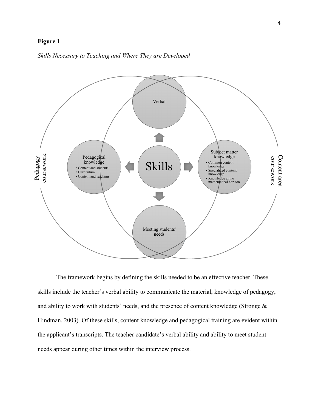### **Figure 1**



*Skills Necessary to Teaching and Where They are Developed*

The framework begins by defining the skills needed to be an effective teacher. These skills include the teacher's verbal ability to communicate the material, knowledge of pedagogy, and ability to work with students' needs, and the presence of content knowledge (Stronge & Hindman, 2003). Of these skills, content knowledge and pedagogical training are evident within the applicant's transcripts. The teacher candidate's verbal ability and ability to meet student needs appear during other times within the interview process.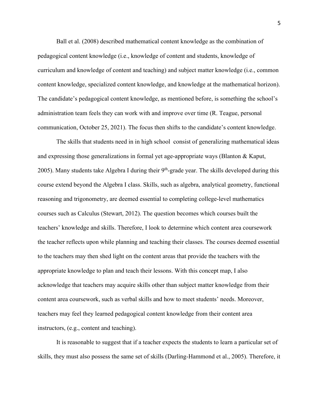Ball et al. (2008) described mathematical content knowledge as the combination of pedagogical content knowledge (i.e., knowledge of content and students, knowledge of curriculum and knowledge of content and teaching) and subject matter knowledge (i.e., common content knowledge, specialized content knowledge, and knowledge at the mathematical horizon). The candidate's pedagogical content knowledge, as mentioned before, is something the school's administration team feels they can work with and improve over time (R. Teague, personal communication, October 25, 2021). The focus then shifts to the candidate's content knowledge.

The skills that students need in in high school consist of generalizing mathematical ideas and expressing those generalizations in formal yet age-appropriate ways (Blanton & Kaput, 2005). Many students take Algebra I during their  $9<sup>th</sup>$ -grade year. The skills developed during this course extend beyond the Algebra I class. Skills, such as algebra, analytical geometry, functional reasoning and trigonometry, are deemed essential to completing college-level mathematics courses such as Calculus (Stewart, 2012). The question becomes which courses built the teachers' knowledge and skills. Therefore, I look to determine which content area coursework the teacher reflects upon while planning and teaching their classes. The courses deemed essential to the teachers may then shed light on the content areas that provide the teachers with the appropriate knowledge to plan and teach their lessons. With this concept map, I also acknowledge that teachers may acquire skills other than subject matter knowledge from their content area coursework, such as verbal skills and how to meet students' needs. Moreover, teachers may feel they learned pedagogical content knowledge from their content area instructors, (e.g., content and teaching).

It is reasonable to suggest that if a teacher expects the students to learn a particular set of skills, they must also possess the same set of skills (Darling-Hammond et al., 2005). Therefore, it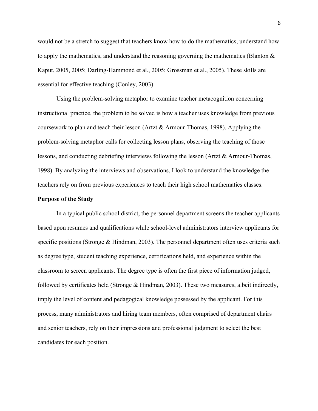would not be a stretch to suggest that teachers know how to do the mathematics, understand how to apply the mathematics, and understand the reasoning governing the mathematics (Blanton  $\&$ Kaput, 2005, 2005; Darling-Hammond et al., 2005; Grossman et al., 2005). These skills are essential for effective teaching (Conley, 2003).

Using the problem-solving metaphor to examine teacher metacognition concerning instructional practice, the problem to be solved is how a teacher uses knowledge from previous coursework to plan and teach their lesson (Artzt & Armour-Thomas, 1998). Applying the problem-solving metaphor calls for collecting lesson plans, observing the teaching of those lessons, and conducting debriefing interviews following the lesson (Artzt & Armour-Thomas, 1998). By analyzing the interviews and observations, I look to understand the knowledge the teachers rely on from previous experiences to teach their high school mathematics classes.

#### **Purpose of the Study**

In a typical public school district, the personnel department screens the teacher applicants based upon resumes and qualifications while school-level administrators interview applicants for specific positions (Stronge & Hindman, 2003). The personnel department often uses criteria such as degree type, student teaching experience, certifications held, and experience within the classroom to screen applicants. The degree type is often the first piece of information judged, followed by certificates held (Stronge & Hindman, 2003). These two measures, albeit indirectly, imply the level of content and pedagogical knowledge possessed by the applicant. For this process, many administrators and hiring team members, often comprised of department chairs and senior teachers, rely on their impressions and professional judgment to select the best candidates for each position.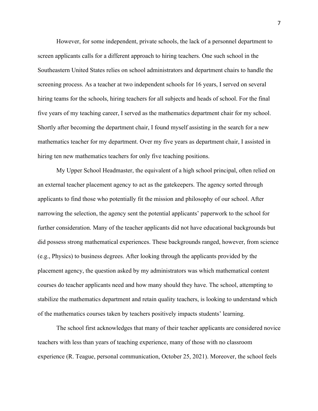However, for some independent, private schools, the lack of a personnel department to screen applicants calls for a different approach to hiring teachers. One such school in the Southeastern United States relies on school administrators and department chairs to handle the screening process. As a teacher at two independent schools for 16 years, I served on several hiring teams for the schools, hiring teachers for all subjects and heads of school. For the final five years of my teaching career, I served as the mathematics department chair for my school. Shortly after becoming the department chair, I found myself assisting in the search for a new mathematics teacher for my department. Over my five years as department chair, I assisted in hiring ten new mathematics teachers for only five teaching positions.

My Upper School Headmaster, the equivalent of a high school principal, often relied on an external teacher placement agency to act as the gatekeepers. The agency sorted through applicants to find those who potentially fit the mission and philosophy of our school. After narrowing the selection, the agency sent the potential applicants' paperwork to the school for further consideration. Many of the teacher applicants did not have educational backgrounds but did possess strong mathematical experiences. These backgrounds ranged, however, from science (e.g., Physics) to business degrees. After looking through the applicants provided by the placement agency, the question asked by my administrators was which mathematical content courses do teacher applicants need and how many should they have. The school, attempting to stabilize the mathematics department and retain quality teachers, is looking to understand which of the mathematics courses taken by teachers positively impacts students' learning.

The school first acknowledges that many of their teacher applicants are considered novice teachers with less than years of teaching experience, many of those with no classroom experience (R. Teague, personal communication, October 25, 2021). Moreover, the school feels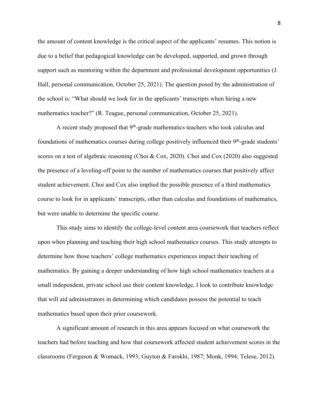the amount of content knowledge is the critical aspect of the applicants' resumes. This notion is due to a belief that pedagogical knowledge can be developed, supported, and grown through support such as mentoring within the department and professional development opportunities (J. Hall, personal communication, October 25, 2021). The question posed by the administration of the school is: "What should we look for in the applicants' transcripts when hiring a new mathematics teacher?" (R. Teague, personal communication, October 25, 2021).

A recent study proposed that  $9<sup>th</sup>$ -grade mathematics teachers who took calculus and foundations of mathematics courses during college positively influenced their 9<sup>th</sup>-grade students' scores on a test of algebraic reasoning (Choi & Cox, 2020). Choi and Cox (2020) also suggested the presence of a leveling-off point to the number of mathematics courses that positively affect student achievement. Choi and Cox also implied the possible presence of a third mathematics course to look for in applicants' transcripts, other than calculus and foundations of mathematics, but were unable to determine the specific course.

This study aims to identify the college-level content area coursework that teachers reflect upon when planning and teaching their high school mathematics courses. This study attempts to determine how those teachers' college mathematics experiences impact their teaching of mathematics. By gaining a deeper understanding of how high school mathematics teachers at a small independent, private school use their content knowledge, I look to contribute knowledge that will aid administrators in determining which candidates possess the potential to teach mathematics based upon their prior coursework.

A significant amount of research in this area appears focused on what coursework the teachers had before teaching and how that coursework affected student achievement scores in the classrooms (Ferguson & Womack, 1993; Guyton & Farokhi, 1987; Monk, 1994; Telese, 2012).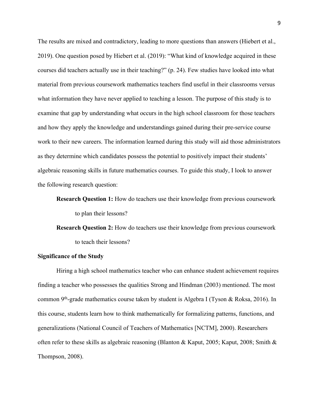The results are mixed and contradictory, leading to more questions than answers (Hiebert et al., 2019). One question posed by Hiebert et al. (2019): "What kind of knowledge acquired in these courses did teachers actually use in their teaching?" (p. 24). Few studies have looked into what material from previous coursework mathematics teachers find useful in their classrooms versus what information they have never applied to teaching a lesson. The purpose of this study is to examine that gap by understanding what occurs in the high school classroom for those teachers and how they apply the knowledge and understandings gained during their pre-service course work to their new careers. The information learned during this study will aid those administrators as they determine which candidates possess the potential to positively impact their students' algebraic reasoning skills in future mathematics courses. To guide this study, I look to answer the following research question:

**Research Question 1:** How do teachers use their knowledge from previous coursework to plan their lessons?

**Research Question 2:** How do teachers use their knowledge from previous coursework to teach their lessons?

#### **Significance of the Study**

Hiring a high school mathematics teacher who can enhance student achievement requires finding a teacher who possesses the qualities Strong and Hindman (2003) mentioned. The most common 9th-grade mathematics course taken by student is Algebra I (Tyson & Roksa, 2016). In this course, students learn how to think mathematically for formalizing patterns, functions, and generalizations (National Council of Teachers of Mathematics [NCTM], 2000). Researchers often refer to these skills as algebraic reasoning (Blanton & Kaput, 2005; Kaput, 2008; Smith & Thompson, 2008).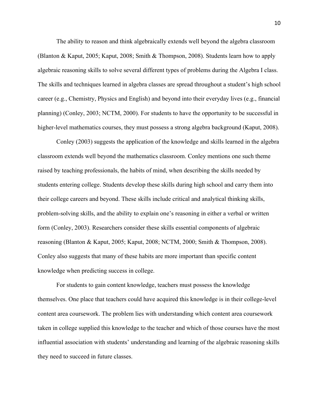The ability to reason and think algebraically extends well beyond the algebra classroom (Blanton & Kaput, 2005; Kaput, 2008; Smith & Thompson, 2008). Students learn how to apply algebraic reasoning skills to solve several different types of problems during the Algebra I class. The skills and techniques learned in algebra classes are spread throughout a student's high school career (e.g., Chemistry, Physics and English) and beyond into their everyday lives (e.g., financial planning) (Conley, 2003; NCTM, 2000). For students to have the opportunity to be successful in higher-level mathematics courses, they must possess a strong algebra background (Kaput, 2008).

Conley (2003) suggests the application of the knowledge and skills learned in the algebra classroom extends well beyond the mathematics classroom. Conley mentions one such theme raised by teaching professionals, the habits of mind, when describing the skills needed by students entering college. Students develop these skills during high school and carry them into their college careers and beyond. These skills include critical and analytical thinking skills, problem-solving skills, and the ability to explain one's reasoning in either a verbal or written form (Conley, 2003). Researchers consider these skills essential components of algebraic reasoning (Blanton & Kaput, 2005; Kaput, 2008; NCTM, 2000; Smith & Thompson, 2008). Conley also suggests that many of these habits are more important than specific content knowledge when predicting success in college.

For students to gain content knowledge, teachers must possess the knowledge themselves. One place that teachers could have acquired this knowledge is in their college-level content area coursework. The problem lies with understanding which content area coursework taken in college supplied this knowledge to the teacher and which of those courses have the most influential association with students' understanding and learning of the algebraic reasoning skills they need to succeed in future classes.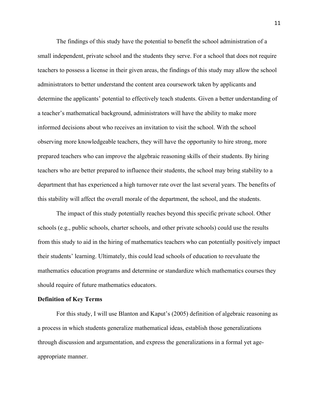The findings of this study have the potential to benefit the school administration of a small independent, private school and the students they serve. For a school that does not require teachers to possess a license in their given areas, the findings of this study may allow the school administrators to better understand the content area coursework taken by applicants and determine the applicants' potential to effectively teach students. Given a better understanding of a teacher's mathematical background, administrators will have the ability to make more informed decisions about who receives an invitation to visit the school. With the school observing more knowledgeable teachers, they will have the opportunity to hire strong, more prepared teachers who can improve the algebraic reasoning skills of their students. By hiring teachers who are better prepared to influence their students, the school may bring stability to a department that has experienced a high turnover rate over the last several years. The benefits of this stability will affect the overall morale of the department, the school, and the students.

The impact of this study potentially reaches beyond this specific private school. Other schools (e.g., public schools, charter schools, and other private schools) could use the results from this study to aid in the hiring of mathematics teachers who can potentially positively impact their students' learning. Ultimately, this could lead schools of education to reevaluate the mathematics education programs and determine or standardize which mathematics courses they should require of future mathematics educators.

#### **Definition of Key Terms**

For this study, I will use Blanton and Kaput's (2005) definition of algebraic reasoning as a process in which students generalize mathematical ideas, establish those generalizations through discussion and argumentation, and express the generalizations in a formal yet ageappropriate manner.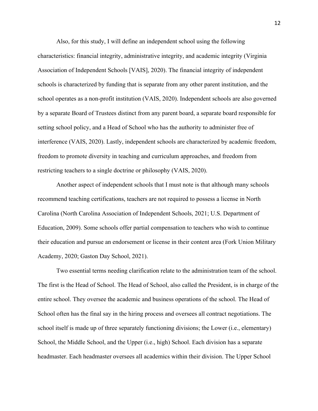Also, for this study, I will define an independent school using the following characteristics: financial integrity, administrative integrity, and academic integrity (Virginia Association of Independent Schools [VAIS], 2020). The financial integrity of independent schools is characterized by funding that is separate from any other parent institution, and the school operates as a non-profit institution (VAIS, 2020). Independent schools are also governed by a separate Board of Trustees distinct from any parent board, a separate board responsible for setting school policy, and a Head of School who has the authority to administer free of interference (VAIS, 2020). Lastly, independent schools are characterized by academic freedom, freedom to promote diversity in teaching and curriculum approaches, and freedom from restricting teachers to a single doctrine or philosophy (VAIS, 2020).

Another aspect of independent schools that I must note is that although many schools recommend teaching certifications, teachers are not required to possess a license in North Carolina (North Carolina Association of Independent Schools, 2021; U.S. Department of Education, 2009). Some schools offer partial compensation to teachers who wish to continue their education and pursue an endorsement or license in their content area (Fork Union Military Academy, 2020; Gaston Day School, 2021).

Two essential terms needing clarification relate to the administration team of the school. The first is the Head of School. The Head of School, also called the President, is in charge of the entire school. They oversee the academic and business operations of the school. The Head of School often has the final say in the hiring process and oversees all contract negotiations. The school itself is made up of three separately functioning divisions; the Lower (i.e., elementary) School, the Middle School, and the Upper (i.e., high) School. Each division has a separate headmaster. Each headmaster oversees all academics within their division. The Upper School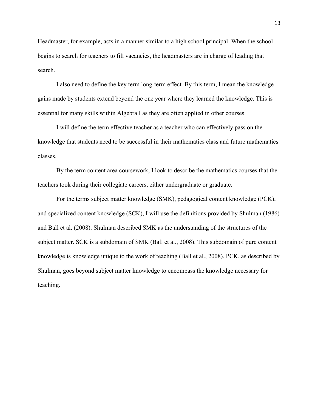Headmaster, for example, acts in a manner similar to a high school principal. When the school begins to search for teachers to fill vacancies, the headmasters are in charge of leading that search.

I also need to define the key term long-term effect. By this term, I mean the knowledge gains made by students extend beyond the one year where they learned the knowledge. This is essential for many skills within Algebra I as they are often applied in other courses.

I will define the term effective teacher as a teacher who can effectively pass on the knowledge that students need to be successful in their mathematics class and future mathematics classes.

By the term content area coursework, I look to describe the mathematics courses that the teachers took during their collegiate careers, either undergraduate or graduate.

For the terms subject matter knowledge (SMK), pedagogical content knowledge (PCK), and specialized content knowledge (SCK), I will use the definitions provided by Shulman (1986) and Ball et al. (2008). Shulman described SMK as the understanding of the structures of the subject matter. SCK is a subdomain of SMK (Ball et al., 2008). This subdomain of pure content knowledge is knowledge unique to the work of teaching (Ball et al., 2008). PCK, as described by Shulman, goes beyond subject matter knowledge to encompass the knowledge necessary for teaching.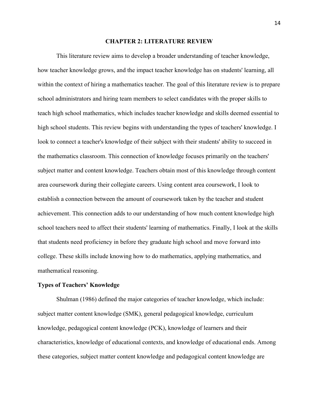#### **CHAPTER 2: LITERATURE REVIEW**

This literature review aims to develop a broader understanding of teacher knowledge, how teacher knowledge grows, and the impact teacher knowledge has on students' learning, all within the context of hiring a mathematics teacher. The goal of this literature review is to prepare school administrators and hiring team members to select candidates with the proper skills to teach high school mathematics, which includes teacher knowledge and skills deemed essential to high school students. This review begins with understanding the types of teachers' knowledge. I look to connect a teacher's knowledge of their subject with their students' ability to succeed in the mathematics classroom. This connection of knowledge focuses primarily on the teachers' subject matter and content knowledge. Teachers obtain most of this knowledge through content area coursework during their collegiate careers. Using content area coursework, I look to establish a connection between the amount of coursework taken by the teacher and student achievement. This connection adds to our understanding of how much content knowledge high school teachers need to affect their students' learning of mathematics. Finally, I look at the skills that students need proficiency in before they graduate high school and move forward into college. These skills include knowing how to do mathematics, applying mathematics, and mathematical reasoning.

#### **Types of Teachers' Knowledge**

Shulman (1986) defined the major categories of teacher knowledge, which include: subject matter content knowledge (SMK), general pedagogical knowledge, curriculum knowledge, pedagogical content knowledge (PCK), knowledge of learners and their characteristics, knowledge of educational contexts, and knowledge of educational ends. Among these categories, subject matter content knowledge and pedagogical content knowledge are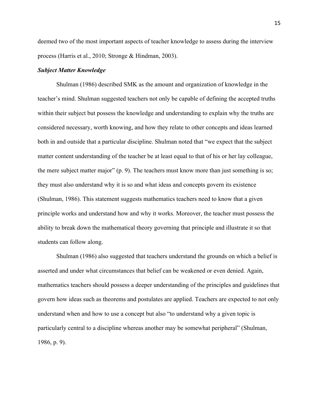deemed two of the most important aspects of teacher knowledge to assess during the interview process (Harris et al., 2010; Stronge & Hindman, 2003).

#### *Subject Matter Knowledge*

Shulman (1986) described SMK as the amount and organization of knowledge in the teacher's mind. Shulman suggested teachers not only be capable of defining the accepted truths within their subject but possess the knowledge and understanding to explain why the truths are considered necessary, worth knowing, and how they relate to other concepts and ideas learned both in and outside that a particular discipline. Shulman noted that "we expect that the subject matter content understanding of the teacher be at least equal to that of his or her lay colleague, the mere subject matter major" (p. 9). The teachers must know more than just something is so; they must also understand why it is so and what ideas and concepts govern its existence (Shulman, 1986). This statement suggests mathematics teachers need to know that a given principle works and understand how and why it works. Moreover, the teacher must possess the ability to break down the mathematical theory governing that principle and illustrate it so that students can follow along.

Shulman (1986) also suggested that teachers understand the grounds on which a belief is asserted and under what circumstances that belief can be weakened or even denied. Again, mathematics teachers should possess a deeper understanding of the principles and guidelines that govern how ideas such as theorems and postulates are applied. Teachers are expected to not only understand when and how to use a concept but also "to understand why a given topic is particularly central to a discipline whereas another may be somewhat peripheral" (Shulman, 1986, p. 9).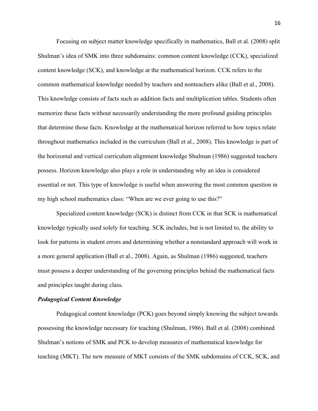Focusing on subject matter knowledge specifically in mathematics, Ball et al. (2008) split Shulman's idea of SMK into three subdomains: common content knowledge (CCK), specialized content knowledge (SCK), and knowledge at the mathematical horizon. CCK refers to the common mathematical knowledge needed by teachers and nonteachers alike (Ball et al., 2008). This knowledge consists of facts such as addition facts and multiplication tables. Students often memorize these facts without necessarily understanding the more profound guiding principles that determine those facts. Knowledge at the mathematical horizon referred to how topics relate throughout mathematics included in the curriculum (Ball et al., 2008). This knowledge is part of the horizontal and vertical curriculum alignment knowledge Shulman (1986) suggested teachers possess. Horizon knowledge also plays a role in understanding why an idea is considered essential or not. This type of knowledge is useful when answering the most common question in my high school mathematics class: "When are we ever going to use this?"

Specialized content knowledge (SCK) is distinct from CCK in that SCK is mathematical knowledge typically used solely for teaching. SCK includes, but is not limited to, the ability to look for patterns in student errors and determining whether a nonstandard approach will work in a more general application (Ball et al., 2008). Again, as Shulman (1986) suggested, teachers must possess a deeper understanding of the governing principles behind the mathematical facts and principles taught during class.

#### *Pedagogical Content Knowledge*

Pedagogical content knowledge (PCK) goes beyond simply knowing the subject towards possessing the knowledge necessary for teaching (Shulman, 1986). Ball et al. (2008) combined Shulman's notions of SMK and PCK to develop measures of mathematical knowledge for teaching (MKT). The new measure of MKT consists of the SMK subdomains of CCK, SCK, and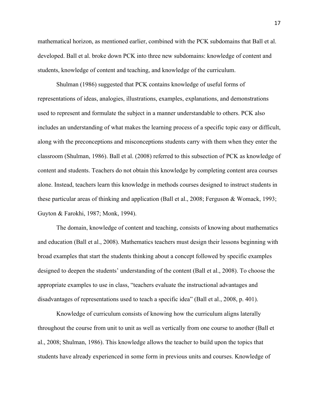mathematical horizon, as mentioned earlier, combined with the PCK subdomains that Ball et al. developed. Ball et al. broke down PCK into three new subdomains: knowledge of content and students, knowledge of content and teaching, and knowledge of the curriculum.

Shulman (1986) suggested that PCK contains knowledge of useful forms of representations of ideas, analogies, illustrations, examples, explanations, and demonstrations used to represent and formulate the subject in a manner understandable to others. PCK also includes an understanding of what makes the learning process of a specific topic easy or difficult, along with the preconceptions and misconceptions students carry with them when they enter the classroom (Shulman, 1986). Ball et al. (2008) referred to this subsection of PCK as knowledge of content and students. Teachers do not obtain this knowledge by completing content area courses alone. Instead, teachers learn this knowledge in methods courses designed to instruct students in these particular areas of thinking and application (Ball et al., 2008; Ferguson & Womack, 1993; Guyton & Farokhi, 1987; Monk, 1994).

The domain, knowledge of content and teaching, consists of knowing about mathematics and education (Ball et al., 2008). Mathematics teachers must design their lessons beginning with broad examples that start the students thinking about a concept followed by specific examples designed to deepen the students' understanding of the content (Ball et al., 2008). To choose the appropriate examples to use in class, "teachers evaluate the instructional advantages and disadvantages of representations used to teach a specific idea" (Ball et al., 2008, p. 401).

Knowledge of curriculum consists of knowing how the curriculum aligns laterally throughout the course from unit to unit as well as vertically from one course to another (Ball et al., 2008; Shulman, 1986). This knowledge allows the teacher to build upon the topics that students have already experienced in some form in previous units and courses. Knowledge of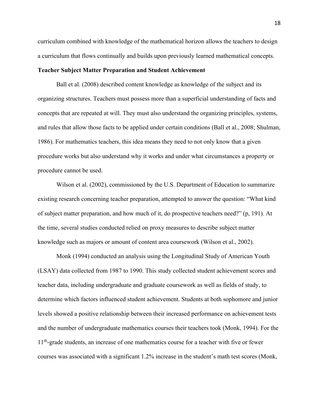curriculum combined with knowledge of the mathematical horizon allows the teachers to design a curriculum that flows continually and builds upon previously learned mathematical concepts.

#### **Teacher Subject Matter Preparation and Student Achievement**

Ball et al. (2008) described content knowledge as knowledge of the subject and its organizing structures. Teachers must possess more than a superficial understanding of facts and concepts that are repeated at will. They must also understand the organizing principles, systems, and rules that allow those facts to be applied under certain conditions (Ball et al., 2008; Shulman, 1986). For mathematics teachers, this idea means they need to not only know that a given procedure works but also understand why it works and under what circumstances a property or procedure cannot be used.

Wilson et al. (2002), commissioned by the U.S. Department of Education to summarize existing research concerning teacher preparation, attempted to answer the question: "What kind of subject matter preparation, and how much of it, do prospective teachers need?" (p, 191). At the time, several studies conducted relied on proxy measures to describe subject matter knowledge such as majors or amount of content area coursework (Wilson et al., 2002).

Monk (1994) conducted an analysis using the Longitudinal Study of American Youth (LSAY) data collected from 1987 to 1990. This study collected student achievement scores and teacher data, including undergraduate and graduate coursework as well as fields of study, to determine which factors influenced student achievement. Students at both sophomore and junior levels showed a positive relationship between their increased performance on achievement tests and the number of undergraduate mathematics courses their teachers took (Monk, 1994). For the 11<sup>th</sup>-grade students, an increase of one mathematics course for a teacher with five or fewer courses was associated with a significant 1.2% increase in the student's math test scores (Monk,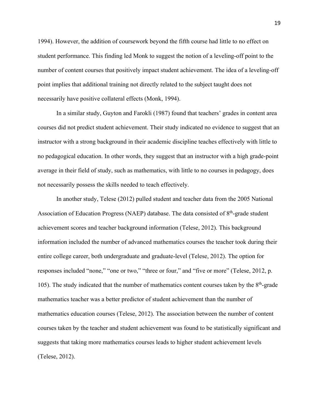1994). However, the addition of coursework beyond the fifth course had little to no effect on student performance. This finding led Monk to suggest the notion of a leveling-off point to the number of content courses that positively impact student achievement. The idea of a leveling-off point implies that additional training not directly related to the subject taught does not necessarily have positive collateral effects (Monk, 1994).

In a similar study, Guyton and Farokli (1987) found that teachers' grades in content area courses did not predict student achievement. Their study indicated no evidence to suggest that an instructor with a strong background in their academic discipline teaches effectively with little to no pedagogical education. In other words, they suggest that an instructor with a high grade-point average in their field of study, such as mathematics, with little to no courses in pedagogy, does not necessarily possess the skills needed to teach effectively.

In another study, Telese (2012) pulled student and teacher data from the 2005 National Association of Education Progress (NAEP) database. The data consisted of 8<sup>th</sup>-grade student achievement scores and teacher background information (Telese, 2012). This background information included the number of advanced mathematics courses the teacher took during their entire college career, both undergraduate and graduate-level (Telese, 2012). The option for responses included "none," "one or two," "three or four," and "five or more" (Telese, 2012, p. 105). The study indicated that the number of mathematics content courses taken by the  $8<sup>th</sup>$ -grade mathematics teacher was a better predictor of student achievement than the number of mathematics education courses (Telese, 2012). The association between the number of content courses taken by the teacher and student achievement was found to be statistically significant and suggests that taking more mathematics courses leads to higher student achievement levels (Telese, 2012).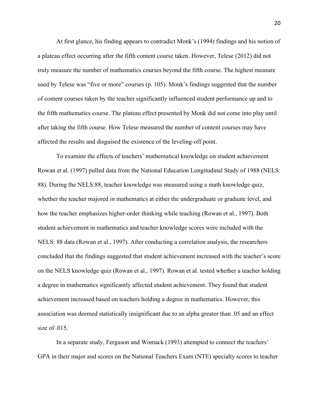At first glance, his finding appears to contradict Monk's (1994) findings and his notion of a plateau effect occurring after the fifth content course taken. However, Telese (2012) did not truly measure the number of mathematics courses beyond the fifth course. The highest measure used by Telese was "five or more" courses (p. 105). Monk's findings suggested that the number of content courses taken by the teacher significantly influenced student performance up and to the fifth mathematics course. The plateau effect presented by Monk did not come into play until after taking the fifth course. How Telese measured the number of content courses may have affected the results and disguised the existence of the leveling-off point.

To examine the effects of teachers' mathematical knowledge on student achievement Rowan et al. (1997) pulled data from the National Education Longitudinal Study of 1988 (NELS: 88). During the NELS:88, teacher knowledge was measured using a math knowledge quiz, whether the teacher majored in mathematics at either the undergraduate or graduate level, and how the teacher emphasizes higher-order thinking while teaching (Rowan et al., 1997). Both student achievement in mathematics and teacher knowledge scores were included with the NELS: 88 data (Rowan et al., 1997). After conducting a correlation analysis, the researchers concluded that the findings suggested that student achievement increased with the teacher's score on the NELS knowledge quiz (Rowan et al., 1997). Rowan et al. tested whether a teacher holding a degree in mathematics significantly affected student achievement. They found that student achievement increased based on teachers holding a degree in mathematics. However, this association was deemed statistically insignificant due to an alpha greater than .05 and an effect size of .015.

In a separate study, Ferguson and Womack (1993) attempted to connect the teachers' GPA in their major and scores on the National Teachers Exam (NTE) specialty scores to teacher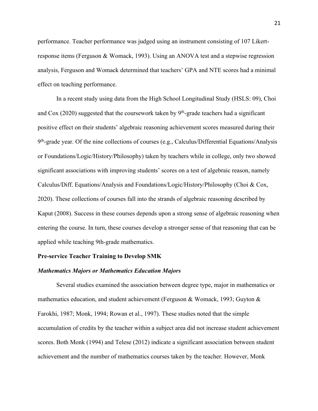performance. Teacher performance was judged using an instrument consisting of 107 Likertresponse items (Ferguson & Womack, 1993). Using an ANOVA test and a stepwise regression analysis, Ferguson and Womack determined that teachers' GPA and NTE scores had a minimal effect on teaching performance.

In a recent study using data from the High School Longitudinal Study (HSLS: 09), Choi and Cox (2020) suggested that the coursework taken by  $9<sup>th</sup>$ -grade teachers had a significant positive effect on their students' algebraic reasoning achievement scores measured during their 9<sup>th</sup>-grade year. Of the nine collections of courses (e.g., Calculus/Differential Equations/Analysis or Foundations/Logic/History/Philosophy) taken by teachers while in college, only two showed significant associations with improving students' scores on a test of algebraic reason, namely Calculus/Diff. Equations/Analysis and Foundations/Logic/History/Philosophy (Choi & Cox, 2020). These collections of courses fall into the strands of algebraic reasoning described by Kaput (2008). Success in these courses depends upon a strong sense of algebraic reasoning when entering the course. In turn, these courses develop a stronger sense of that reasoning that can be applied while teaching 9th-grade mathematics.

#### **Pre-service Teacher Training to Develop SMK**

#### *Mathematics Majors or Mathematics Education Majors*

Several studies examined the association between degree type, major in mathematics or mathematics education, and student achievement (Ferguson & Womack, 1993; Guyton & Farokhi, 1987; Monk, 1994; Rowan et al., 1997). These studies noted that the simple accumulation of credits by the teacher within a subject area did not increase student achievement scores. Both Monk (1994) and Telese (2012) indicate a significant association between student achievement and the number of mathematics courses taken by the teacher. However, Monk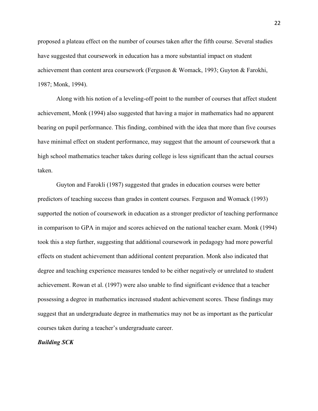proposed a plateau effect on the number of courses taken after the fifth course. Several studies have suggested that coursework in education has a more substantial impact on student achievement than content area coursework (Ferguson & Womack, 1993; Guyton & Farokhi, 1987; Monk, 1994).

Along with his notion of a leveling-off point to the number of courses that affect student achievement, Monk (1994) also suggested that having a major in mathematics had no apparent bearing on pupil performance. This finding, combined with the idea that more than five courses have minimal effect on student performance, may suggest that the amount of coursework that a high school mathematics teacher takes during college is less significant than the actual courses taken.

Guyton and Farokli (1987) suggested that grades in education courses were better predictors of teaching success than grades in content courses. Ferguson and Womack (1993) supported the notion of coursework in education as a stronger predictor of teaching performance in comparison to GPA in major and scores achieved on the national teacher exam. Monk (1994) took this a step further, suggesting that additional coursework in pedagogy had more powerful effects on student achievement than additional content preparation. Monk also indicated that degree and teaching experience measures tended to be either negatively or unrelated to student achievement. Rowan et al. (1997) were also unable to find significant evidence that a teacher possessing a degree in mathematics increased student achievement scores. These findings may suggest that an undergraduate degree in mathematics may not be as important as the particular courses taken during a teacher's undergraduate career.

#### *Building SCK*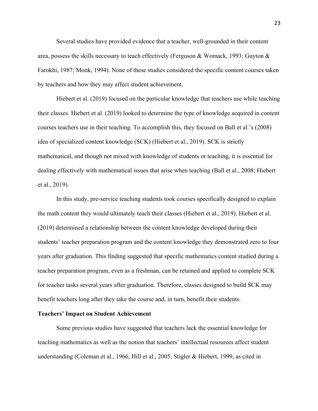Several studies have provided evidence that a teacher, well-grounded in their content area, possess the skills necessary to teach effectively (Ferguson & Womack, 1993; Guyton & Farokhi, 1987; Monk, 1994). None of these studies considered the specific content courses taken by teachers and how they may affect student achievement.

Hiebert et al. (2019) focused on the particular knowledge that teachers use while teaching their classes. Hiebert et al. (2019) looked to determine the type of knowledge acquired in content courses teachers use in their teaching. To accomplish this, they focused on Ball et al.'s (2008) idea of specialized content knowledge (SCK) (Hiebert et al., 2019). SCK is strictly mathematical, and though not mixed with knowledge of students or teaching, it is essential for dealing effectively with mathematical issues that arise when teaching (Ball et al., 2008; Hiebert et al., 2019).

In this study, pre-service teaching students took courses specifically designed to explain the math content they would ultimately teach their classes (Hiebert et al., 2019). Hiebert et al. (2019) determined a relationship between the content knowledge developed during their students' teacher preparation program and the content knowledge they demonstrated zero to four years after graduation. This finding suggested that specific mathematics content studied during a teacher preparation program, even as a freshman, can be retained and applied to complete SCK for teacher tasks several years after graduation. Therefore, classes designed to build SCK may benefit teachers long after they take the course and, in turn, benefit their students.

#### **Teachers' Impact on Student Achievement**

Some previous studies have suggested that teachers lack the essential knowledge for teaching mathematics as well as the notion that teachers' intellectual resources affect student understanding (Coleman et al., 1966, Hill et al., 2005; Stigler & Hiebert, 1999, as cited in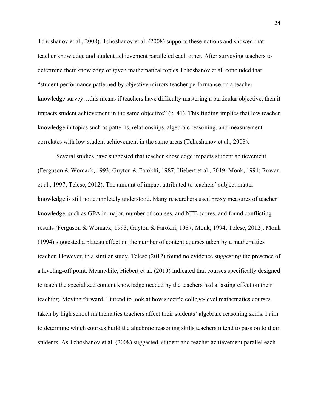Tchoshanov et al., 2008). Tchoshanov et al. (2008) supports these notions and showed that teacher knowledge and student achievement paralleled each other. After surveying teachers to determine their knowledge of given mathematical topics Tchoshanov et al. concluded that "student performance patterned by objective mirrors teacher performance on a teacher knowledge survey…this means if teachers have difficulty mastering a particular objective, then it impacts student achievement in the same objective" (p. 41). This finding implies that low teacher knowledge in topics such as patterns, relationships, algebraic reasoning, and measurement correlates with low student achievement in the same areas (Tchoshanov et al., 2008).

Several studies have suggested that teacher knowledge impacts student achievement (Ferguson & Womack, 1993; Guyton & Farokhi, 1987; Hiebert et al., 2019; Monk, 1994; Rowan et al., 1997; Telese, 2012). The amount of impact attributed to teachers' subject matter knowledge is still not completely understood. Many researchers used proxy measures of teacher knowledge, such as GPA in major, number of courses, and NTE scores, and found conflicting results (Ferguson & Womack, 1993; Guyton & Farokhi, 1987; Monk, 1994; Telese, 2012). Monk (1994) suggested a plateau effect on the number of content courses taken by a mathematics teacher. However, in a similar study, Telese (2012) found no evidence suggesting the presence of a leveling-off point. Meanwhile, Hiebert et al. (2019) indicated that courses specifically designed to teach the specialized content knowledge needed by the teachers had a lasting effect on their teaching. Moving forward, I intend to look at how specific college-level mathematics courses taken by high school mathematics teachers affect their students' algebraic reasoning skills. I aim to determine which courses build the algebraic reasoning skills teachers intend to pass on to their students. As Tchoshanov et al. (2008) suggested, student and teacher achievement parallel each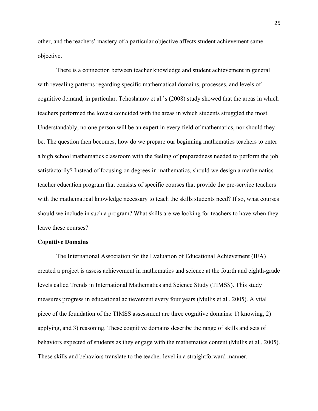other, and the teachers' mastery of a particular objective affects student achievement same objective.

There is a connection between teacher knowledge and student achievement in general with revealing patterns regarding specific mathematical domains, processes, and levels of cognitive demand, in particular. Tchoshanov et al.'s (2008) study showed that the areas in which teachers performed the lowest coincided with the areas in which students struggled the most. Understandably, no one person will be an expert in every field of mathematics, nor should they be. The question then becomes, how do we prepare our beginning mathematics teachers to enter a high school mathematics classroom with the feeling of preparedness needed to perform the job satisfactorily? Instead of focusing on degrees in mathematics, should we design a mathematics teacher education program that consists of specific courses that provide the pre-service teachers with the mathematical knowledge necessary to teach the skills students need? If so, what courses should we include in such a program? What skills are we looking for teachers to have when they leave these courses?

#### **Cognitive Domains**

The International Association for the Evaluation of Educational Achievement (IEA) created a project is assess achievement in mathematics and science at the fourth and eighth-grade levels called Trends in International Mathematics and Science Study (TIMSS). This study measures progress in educational achievement every four years (Mullis et al., 2005). A vital piece of the foundation of the TIMSS assessment are three cognitive domains: 1) knowing, 2) applying, and 3) reasoning. These cognitive domains describe the range of skills and sets of behaviors expected of students as they engage with the mathematics content (Mullis et al., 2005). These skills and behaviors translate to the teacher level in a straightforward manner.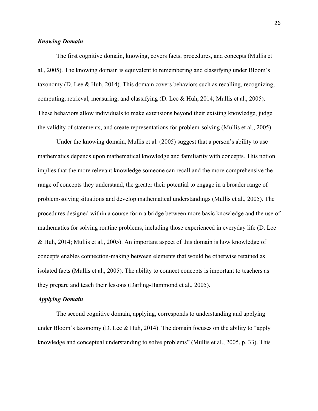#### *Knowing Domain*

The first cognitive domain, knowing, covers facts, procedures, and concepts (Mullis et al., 2005). The knowing domain is equivalent to remembering and classifying under Bloom's taxonomy (D. Lee & Huh, 2014). This domain covers behaviors such as recalling, recognizing, computing, retrieval, measuring, and classifying (D. Lee & Huh, 2014; Mullis et al., 2005). These behaviors allow individuals to make extensions beyond their existing knowledge, judge the validity of statements, and create representations for problem-solving (Mullis et al., 2005).

Under the knowing domain, Mullis et al. (2005) suggest that a person's ability to use mathematics depends upon mathematical knowledge and familiarity with concepts. This notion implies that the more relevant knowledge someone can recall and the more comprehensive the range of concepts they understand, the greater their potential to engage in a broader range of problem-solving situations and develop mathematical understandings (Mullis et al., 2005). The procedures designed within a course form a bridge between more basic knowledge and the use of mathematics for solving routine problems, including those experienced in everyday life (D. Lee & Huh, 2014; Mullis et al., 2005). An important aspect of this domain is how knowledge of concepts enables connection-making between elements that would be otherwise retained as isolated facts (Mullis et al., 2005). The ability to connect concepts is important to teachers as they prepare and teach their lessons (Darling-Hammond et al., 2005).

#### *Applying Domain*

The second cognitive domain, applying, corresponds to understanding and applying under Bloom's taxonomy (D. Lee & Huh, 2014). The domain focuses on the ability to "apply knowledge and conceptual understanding to solve problems" (Mullis et al., 2005, p. 33). This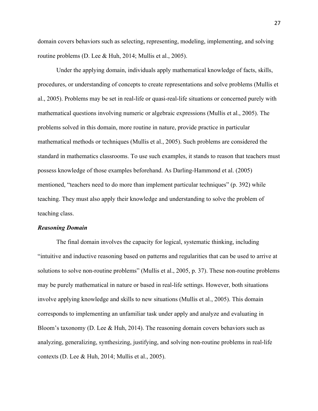domain covers behaviors such as selecting, representing, modeling, implementing, and solving routine problems (D. Lee & Huh, 2014; Mullis et al., 2005).

Under the applying domain, individuals apply mathematical knowledge of facts, skills, procedures, or understanding of concepts to create representations and solve problems (Mullis et al., 2005). Problems may be set in real-life or quasi-real-life situations or concerned purely with mathematical questions involving numeric or algebraic expressions (Mullis et al., 2005). The problems solved in this domain, more routine in nature, provide practice in particular mathematical methods or techniques (Mullis et al., 2005). Such problems are considered the standard in mathematics classrooms. To use such examples, it stands to reason that teachers must possess knowledge of those examples beforehand. As Darling-Hammond et al. (2005) mentioned, "teachers need to do more than implement particular techniques" (p. 392) while teaching. They must also apply their knowledge and understanding to solve the problem of teaching class.

#### *Reasoning Domain*

The final domain involves the capacity for logical, systematic thinking, including "intuitive and inductive reasoning based on patterns and regularities that can be used to arrive at solutions to solve non-routine problems" (Mullis et al., 2005, p. 37). These non-routine problems may be purely mathematical in nature or based in real-life settings. However, both situations involve applying knowledge and skills to new situations (Mullis et al., 2005). This domain corresponds to implementing an unfamiliar task under apply and analyze and evaluating in Bloom's taxonomy (D. Lee & Huh, 2014). The reasoning domain covers behaviors such as analyzing, generalizing, synthesizing, justifying, and solving non-routine problems in real-life contexts (D. Lee & Huh, 2014; Mullis et al., 2005).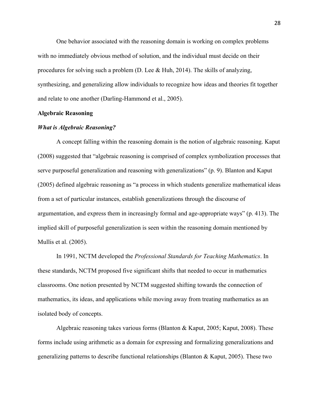One behavior associated with the reasoning domain is working on complex problems with no immediately obvious method of solution, and the individual must decide on their procedures for solving such a problem (D. Lee & Huh, 2014). The skills of analyzing, synthesizing, and generalizing allow individuals to recognize how ideas and theories fit together and relate to one another (Darling-Hammond et al., 2005).

#### **Algebraic Reasoning**

#### *What is Algebraic Reasoning?*

A concept falling within the reasoning domain is the notion of algebraic reasoning. Kaput (2008) suggested that "algebraic reasoning is comprised of complex symbolization processes that serve purposeful generalization and reasoning with generalizations" (p. 9). Blanton and Kaput (2005) defined algebraic reasoning as "a process in which students generalize mathematical ideas from a set of particular instances, establish generalizations through the discourse of argumentation, and express them in increasingly formal and age-appropriate ways" (p. 413). The implied skill of purposeful generalization is seen within the reasoning domain mentioned by Mullis et al. (2005).

In 1991, NCTM developed the *Professional Standards for Teaching Mathematics*. In these standards, NCTM proposed five significant shifts that needed to occur in mathematics classrooms. One notion presented by NCTM suggested shifting towards the connection of mathematics, its ideas, and applications while moving away from treating mathematics as an isolated body of concepts.

Algebraic reasoning takes various forms (Blanton & Kaput, 2005; Kaput, 2008). These forms include using arithmetic as a domain for expressing and formalizing generalizations and generalizing patterns to describe functional relationships (Blanton & Kaput, 2005). These two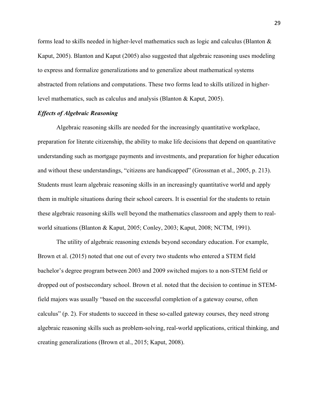forms lead to skills needed in higher-level mathematics such as logic and calculus (Blanton & Kaput, 2005). Blanton and Kaput (2005) also suggested that algebraic reasoning uses modeling to express and formalize generalizations and to generalize about mathematical systems abstracted from relations and computations. These two forms lead to skills utilized in higherlevel mathematics, such as calculus and analysis (Blanton & Kaput, 2005).

#### *Effects of Algebraic Reasoning*

Algebraic reasoning skills are needed for the increasingly quantitative workplace, preparation for literate citizenship, the ability to make life decisions that depend on quantitative understanding such as mortgage payments and investments, and preparation for higher education and without these understandings, "citizens are handicapped" (Grossman et al., 2005, p. 213). Students must learn algebraic reasoning skills in an increasingly quantitative world and apply them in multiple situations during their school careers. It is essential for the students to retain these algebraic reasoning skills well beyond the mathematics classroom and apply them to realworld situations (Blanton & Kaput, 2005; Conley, 2003; Kaput, 2008; NCTM, 1991).

The utility of algebraic reasoning extends beyond secondary education. For example, Brown et al. (2015) noted that one out of every two students who entered a STEM field bachelor's degree program between 2003 and 2009 switched majors to a non-STEM field or dropped out of postsecondary school. Brown et al. noted that the decision to continue in STEMfield majors was usually "based on the successful completion of a gateway course, often calculus" (p. 2). For students to succeed in these so-called gateway courses, they need strong algebraic reasoning skills such as problem-solving, real-world applications, critical thinking, and creating generalizations (Brown et al., 2015; Kaput, 2008).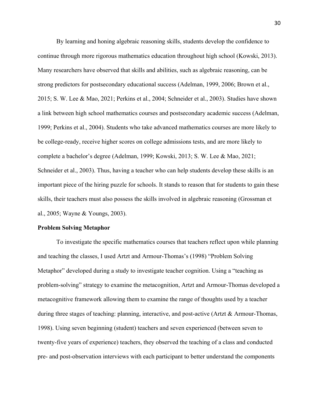By learning and honing algebraic reasoning skills, students develop the confidence to continue through more rigorous mathematics education throughout high school (Kowski, 2013). Many researchers have observed that skills and abilities, such as algebraic reasoning, can be strong predictors for postsecondary educational success (Adelman, 1999, 2006; Brown et al., 2015; S. W. Lee & Mao, 2021; Perkins et al., 2004; Schneider et al., 2003). Studies have shown a link between high school mathematics courses and postsecondary academic success (Adelman, 1999; Perkins et al., 2004). Students who take advanced mathematics courses are more likely to be college-ready, receive higher scores on college admissions tests, and are more likely to complete a bachelor's degree (Adelman, 1999; Kowski, 2013; S. W. Lee & Mao, 2021; Schneider et al., 2003). Thus, having a teacher who can help students develop these skills is an important piece of the hiring puzzle for schools. It stands to reason that for students to gain these skills, their teachers must also possess the skills involved in algebraic reasoning (Grossman et al., 2005; Wayne & Youngs, 2003).

#### **Problem Solving Metaphor**

To investigate the specific mathematics courses that teachers reflect upon while planning and teaching the classes, I used Artzt and Armour-Thomas's (1998) "Problem Solving Metaphor" developed during a study to investigate teacher cognition. Using a "teaching as problem-solving" strategy to examine the metacognition, Artzt and Armour-Thomas developed a metacognitive framework allowing them to examine the range of thoughts used by a teacher during three stages of teaching: planning, interactive, and post-active (Artzt & Armour-Thomas, 1998). Using seven beginning (student) teachers and seven experienced (between seven to twenty-five years of experience) teachers, they observed the teaching of a class and conducted pre- and post-observation interviews with each participant to better understand the components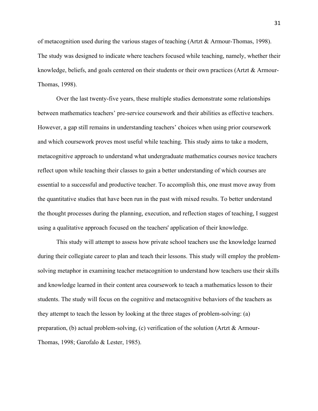of metacognition used during the various stages of teaching (Artzt & Armour-Thomas, 1998). The study was designed to indicate where teachers focused while teaching, namely, whether their knowledge, beliefs, and goals centered on their students or their own practices (Artzt & Armour-Thomas, 1998).

Over the last twenty-five years, these multiple studies demonstrate some relationships between mathematics teachers' pre-service coursework and their abilities as effective teachers. However, a gap still remains in understanding teachers' choices when using prior coursework and which coursework proves most useful while teaching. This study aims to take a modern, metacognitive approach to understand what undergraduate mathematics courses novice teachers reflect upon while teaching their classes to gain a better understanding of which courses are essential to a successful and productive teacher. To accomplish this, one must move away from the quantitative studies that have been run in the past with mixed results. To better understand the thought processes during the planning, execution, and reflection stages of teaching, I suggest using a qualitative approach focused on the teachers' application of their knowledge.

This study will attempt to assess how private school teachers use the knowledge learned during their collegiate career to plan and teach their lessons. This study will employ the problemsolving metaphor in examining teacher metacognition to understand how teachers use their skills and knowledge learned in their content area coursework to teach a mathematics lesson to their students. The study will focus on the cognitive and metacognitive behaviors of the teachers as they attempt to teach the lesson by looking at the three stages of problem-solving: (a) preparation, (b) actual problem-solving, (c) verification of the solution (Artzt & Armour-Thomas, 1998; Garofalo & Lester, 1985).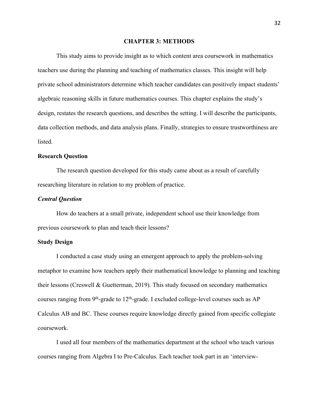#### **CHAPTER 3: METHODS**

This study aims to provide insight as to which content area coursework in mathematics teachers use during the planning and teaching of mathematics classes. This insight will help private school administrators determine which teacher candidates can positively impact students' algebraic reasoning skills in future mathematics courses. This chapter explains the study's design, restates the research questions, and describes the setting. I will describe the participants, data collection methods, and data analysis plans. Finally, strategies to ensure trustworthiness are listed.

#### **Research Question**

The research question developed for this study came about as a result of carefully researching literature in relation to my problem of practice.

#### *Central Question*

How do teachers at a small private, independent school use their knowledge from previous coursework to plan and teach their lessons?

#### **Study Design**

I conducted a case study using an emergent approach to apply the problem-solving metaphor to examine how teachers apply their mathematical knowledge to planning and teaching their lessons (Creswell & Guetterman, 2019). This study focused on secondary mathematics courses ranging from  $9<sup>th</sup>$ -grade to  $12<sup>th</sup>$ -grade. I excluded college-level courses such as AP Calculus AB and BC. These courses require knowledge directly gained from specific collegiate coursework.

I used all four members of the mathematics department at the school who teach various courses ranging from Algebra I to Pre-Calculus. Each teacher took part in an 'interview-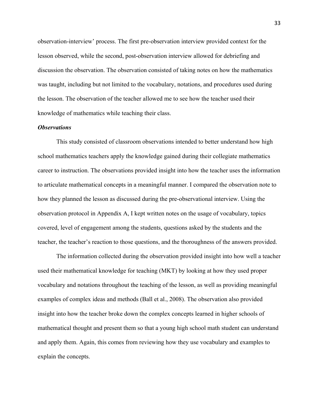observation-interview' process. The first pre-observation interview provided context for the lesson observed, while the second, post-observation interview allowed for debriefing and discussion the observation. The observation consisted of taking notes on how the mathematics was taught, including but not limited to the vocabulary, notations, and procedures used during the lesson. The observation of the teacher allowed me to see how the teacher used their knowledge of mathematics while teaching their class.

#### *Observations*

This study consisted of classroom observations intended to better understand how high school mathematics teachers apply the knowledge gained during their collegiate mathematics career to instruction. The observations provided insight into how the teacher uses the information to articulate mathematical concepts in a meaningful manner. I compared the observation note to how they planned the lesson as discussed during the pre-observational interview. Using the observation protocol in Appendix A, I kept written notes on the usage of vocabulary, topics covered, level of engagement among the students, questions asked by the students and the teacher, the teacher's reaction to those questions, and the thoroughness of the answers provided.

The information collected during the observation provided insight into how well a teacher used their mathematical knowledge for teaching (MKT) by looking at how they used proper vocabulary and notations throughout the teaching of the lesson, as well as providing meaningful examples of complex ideas and methods (Ball et al., 2008). The observation also provided insight into how the teacher broke down the complex concepts learned in higher schools of mathematical thought and present them so that a young high school math student can understand and apply them. Again, this comes from reviewing how they use vocabulary and examples to explain the concepts.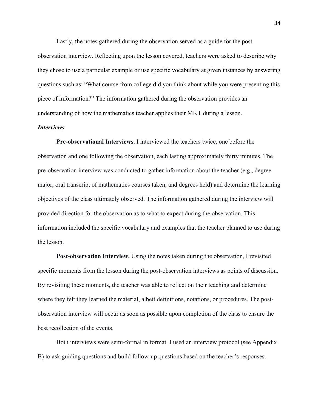Lastly, the notes gathered during the observation served as a guide for the post-

observation interview. Reflecting upon the lesson covered, teachers were asked to describe why they chose to use a particular example or use specific vocabulary at given instances by answering questions such as: "What course from college did you think about while you were presenting this piece of information?" The information gathered during the observation provides an understanding of how the mathematics teacher applies their MKT during a lesson.

## *Interviews*

**Pre-observational Interviews.** I interviewed the teachers twice, one before the observation and one following the observation, each lasting approximately thirty minutes. The pre-observation interview was conducted to gather information about the teacher (e.g., degree major, oral transcript of mathematics courses taken, and degrees held) and determine the learning objectives of the class ultimately observed. The information gathered during the interview will provided direction for the observation as to what to expect during the observation. This information included the specific vocabulary and examples that the teacher planned to use during the lesson.

**Post-observation Interview.** Using the notes taken during the observation, I revisited specific moments from the lesson during the post-observation interviews as points of discussion. By revisiting these moments, the teacher was able to reflect on their teaching and determine where they felt they learned the material, albeit definitions, notations, or procedures. The postobservation interview will occur as soon as possible upon completion of the class to ensure the best recollection of the events.

Both interviews were semi-formal in format. I used an interview protocol (see Appendix B) to ask guiding questions and build follow-up questions based on the teacher's responses.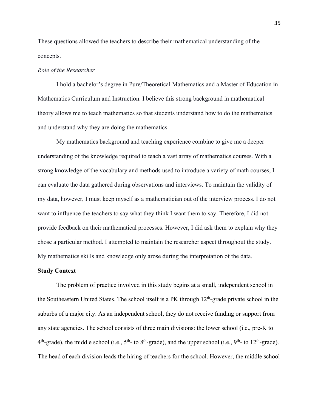These questions allowed the teachers to describe their mathematical understanding of the concepts.

#### *Role of the Researcher*

I hold a bachelor's degree in Pure/Theoretical Mathematics and a Master of Education in Mathematics Curriculum and Instruction. I believe this strong background in mathematical theory allows me to teach mathematics so that students understand how to do the mathematics and understand why they are doing the mathematics.

 My mathematics background and teaching experience combine to give me a deeper understanding of the knowledge required to teach a vast array of mathematics courses. With a strong knowledge of the vocabulary and methods used to introduce a variety of math courses, I can evaluate the data gathered during observations and interviews. To maintain the validity of my data, however, I must keep myself as a mathematician out of the interview process. I do not want to influence the teachers to say what they think I want them to say. Therefore, I did not provide feedback on their mathematical processes. However, I did ask them to explain why they chose a particular method. I attempted to maintain the researcher aspect throughout the study. My mathematics skills and knowledge only arose during the interpretation of the data.

## **Study Context**

The problem of practice involved in this study begins at a small, independent school in the Southeastern United States. The school itself is a PK through 12th-grade private school in the suburbs of a major city. As an independent school, they do not receive funding or support from any state agencies. The school consists of three main divisions: the lower school (i.e., pre-K to  $4<sup>th</sup>$ -grade), the middle school (i.e.,  $5<sup>th</sup>$ - to  $8<sup>th</sup>$ -grade), and the upper school (i.e.,  $9<sup>th</sup>$ - to  $12<sup>th</sup>$ -grade). The head of each division leads the hiring of teachers for the school. However, the middle school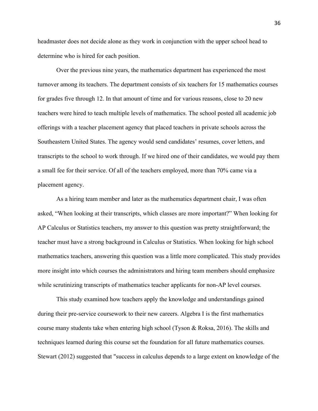headmaster does not decide alone as they work in conjunction with the upper school head to determine who is hired for each position.

Over the previous nine years, the mathematics department has experienced the most turnover among its teachers. The department consists of six teachers for 15 mathematics courses for grades five through 12. In that amount of time and for various reasons, close to 20 new teachers were hired to teach multiple levels of mathematics. The school posted all academic job offerings with a teacher placement agency that placed teachers in private schools across the Southeastern United States. The agency would send candidates' resumes, cover letters, and transcripts to the school to work through. If we hired one of their candidates, we would pay them a small fee for their service. Of all of the teachers employed, more than 70% came via a placement agency.

As a hiring team member and later as the mathematics department chair, I was often asked, "When looking at their transcripts, which classes are more important?" When looking for AP Calculus or Statistics teachers, my answer to this question was pretty straightforward; the teacher must have a strong background in Calculus or Statistics. When looking for high school mathematics teachers, answering this question was a little more complicated. This study provides more insight into which courses the administrators and hiring team members should emphasize while scrutinizing transcripts of mathematics teacher applicants for non-AP level courses.

This study examined how teachers apply the knowledge and understandings gained during their pre-service coursework to their new careers. Algebra I is the first mathematics course many students take when entering high school (Tyson & Roksa, 2016). The skills and techniques learned during this course set the foundation for all future mathematics courses. Stewart (2012) suggested that "success in calculus depends to a large extent on knowledge of the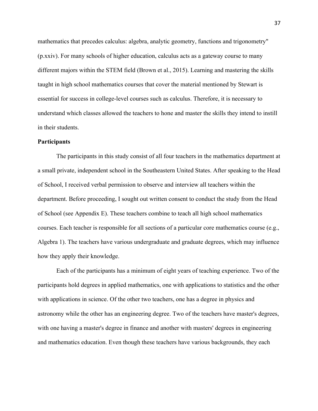mathematics that precedes calculus: algebra, analytic geometry, functions and trigonometry" (p.xxiv). For many schools of higher education, calculus acts as a gateway course to many different majors within the STEM field (Brown et al., 2015). Learning and mastering the skills taught in high school mathematics courses that cover the material mentioned by Stewart is essential for success in college-level courses such as calculus. Therefore, it is necessary to understand which classes allowed the teachers to hone and master the skills they intend to instill in their students.

### **Participants**

The participants in this study consist of all four teachers in the mathematics department at a small private, independent school in the Southeastern United States. After speaking to the Head of School, I received verbal permission to observe and interview all teachers within the department. Before proceeding, I sought out written consent to conduct the study from the Head of School (see Appendix E). These teachers combine to teach all high school mathematics courses. Each teacher is responsible for all sections of a particular core mathematics course (e.g., Algebra 1). The teachers have various undergraduate and graduate degrees, which may influence how they apply their knowledge.

Each of the participants has a minimum of eight years of teaching experience. Two of the participants hold degrees in applied mathematics, one with applications to statistics and the other with applications in science. Of the other two teachers, one has a degree in physics and astronomy while the other has an engineering degree. Two of the teachers have master's degrees, with one having a master's degree in finance and another with masters' degrees in engineering and mathematics education. Even though these teachers have various backgrounds, they each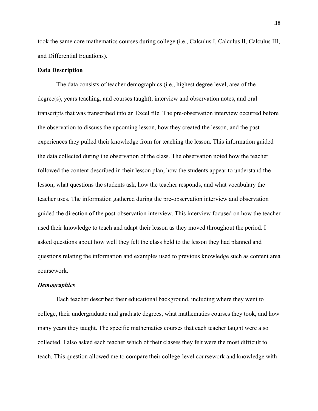took the same core mathematics courses during college (i.e., Calculus I, Calculus II, Calculus III, and Differential Equations).

#### **Data Description**

The data consists of teacher demographics (i.e., highest degree level, area of the degree(s), years teaching, and courses taught), interview and observation notes, and oral transcripts that was transcribed into an Excel file. The pre-observation interview occurred before the observation to discuss the upcoming lesson, how they created the lesson, and the past experiences they pulled their knowledge from for teaching the lesson. This information guided the data collected during the observation of the class. The observation noted how the teacher followed the content described in their lesson plan, how the students appear to understand the lesson, what questions the students ask, how the teacher responds, and what vocabulary the teacher uses. The information gathered during the pre-observation interview and observation guided the direction of the post-observation interview. This interview focused on how the teacher used their knowledge to teach and adapt their lesson as they moved throughout the period. I asked questions about how well they felt the class held to the lesson they had planned and questions relating the information and examples used to previous knowledge such as content area coursework.

#### *Demographics*

Each teacher described their educational background, including where they went to college, their undergraduate and graduate degrees, what mathematics courses they took, and how many years they taught. The specific mathematics courses that each teacher taught were also collected. I also asked each teacher which of their classes they felt were the most difficult to teach. This question allowed me to compare their college-level coursework and knowledge with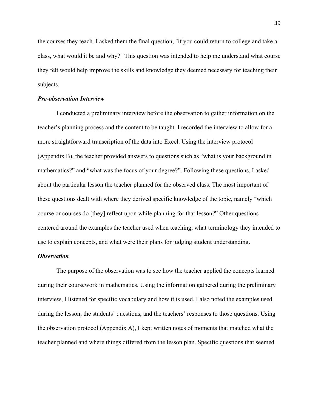the courses they teach. I asked them the final question, "if you could return to college and take a class, what would it be and why?" This question was intended to help me understand what course they felt would help improve the skills and knowledge they deemed necessary for teaching their subjects.

#### *Pre-observation Interview*

I conducted a preliminary interview before the observation to gather information on the teacher's planning process and the content to be taught. I recorded the interview to allow for a more straightforward transcription of the data into Excel. Using the interview protocol (Appendix B), the teacher provided answers to questions such as "what is your background in mathematics?" and "what was the focus of your degree?". Following these questions, I asked about the particular lesson the teacher planned for the observed class. The most important of these questions dealt with where they derived specific knowledge of the topic, namely "which course or courses do [they] reflect upon while planning for that lesson?" Other questions centered around the examples the teacher used when teaching, what terminology they intended to use to explain concepts, and what were their plans for judging student understanding.

## *Observation*

The purpose of the observation was to see how the teacher applied the concepts learned during their coursework in mathematics. Using the information gathered during the preliminary interview, I listened for specific vocabulary and how it is used. I also noted the examples used during the lesson, the students' questions, and the teachers' responses to those questions. Using the observation protocol (Appendix A), I kept written notes of moments that matched what the teacher planned and where things differed from the lesson plan. Specific questions that seemed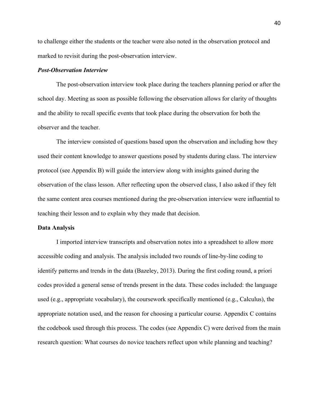to challenge either the students or the teacher were also noted in the observation protocol and marked to revisit during the post-observation interview.

#### *Post-Observation Interview*

The post-observation interview took place during the teachers planning period or after the school day. Meeting as soon as possible following the observation allows for clarity of thoughts and the ability to recall specific events that took place during the observation for both the observer and the teacher.

The interview consisted of questions based upon the observation and including how they used their content knowledge to answer questions posed by students during class. The interview protocol (see Appendix B) will guide the interview along with insights gained during the observation of the class lesson. After reflecting upon the observed class, I also asked if they felt the same content area courses mentioned during the pre-observation interview were influential to teaching their lesson and to explain why they made that decision.

#### **Data Analysis**

I imported interview transcripts and observation notes into a spreadsheet to allow more accessible coding and analysis. The analysis included two rounds of line-by-line coding to identify patterns and trends in the data (Bazeley, 2013). During the first coding round, a priori codes provided a general sense of trends present in the data. These codes included: the language used (e.g., appropriate vocabulary), the coursework specifically mentioned (e.g., Calculus), the appropriate notation used, and the reason for choosing a particular course. Appendix C contains the codebook used through this process. The codes (see Appendix C) were derived from the main research question: What courses do novice teachers reflect upon while planning and teaching?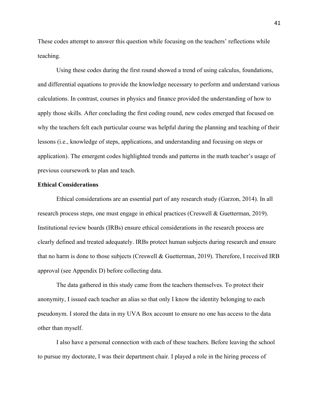These codes attempt to answer this question while focusing on the teachers' reflections while teaching.

Using these codes during the first round showed a trend of using calculus, foundations, and differential equations to provide the knowledge necessary to perform and understand various calculations. In contrast, courses in physics and finance provided the understanding of how to apply those skills. After concluding the first coding round, new codes emerged that focused on why the teachers felt each particular course was helpful during the planning and teaching of their lessons (i.e., knowledge of steps, applications, and understanding and focusing on steps or application). The emergent codes highlighted trends and patterns in the math teacher's usage of previous coursework to plan and teach.

#### **Ethical Considerations**

Ethical considerations are an essential part of any research study (Garzon, 2014). In all research process steps, one must engage in ethical practices (Creswell & Guetterman, 2019). Institutional review boards (IRBs) ensure ethical considerations in the research process are clearly defined and treated adequately. IRBs protect human subjects during research and ensure that no harm is done to those subjects (Creswell & Guetterman, 2019). Therefore, I received IRB approval (see Appendix D) before collecting data.

The data gathered in this study came from the teachers themselves. To protect their anonymity, I issued each teacher an alias so that only I know the identity belonging to each pseudonym. I stored the data in my UVA Box account to ensure no one has access to the data other than myself.

I also have a personal connection with each of these teachers. Before leaving the school to pursue my doctorate, I was their department chair. I played a role in the hiring process of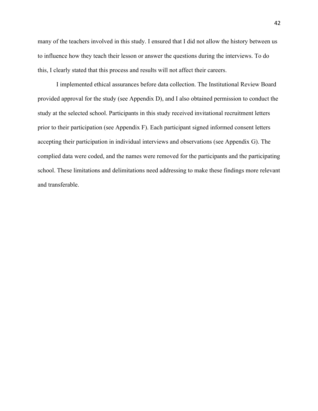many of the teachers involved in this study. I ensured that I did not allow the history between us to influence how they teach their lesson or answer the questions during the interviews. To do this, I clearly stated that this process and results will not affect their careers.

I implemented ethical assurances before data collection. The Institutional Review Board provided approval for the study (see Appendix D), and I also obtained permission to conduct the study at the selected school. Participants in this study received invitational recruitment letters prior to their participation (see Appendix F). Each participant signed informed consent letters accepting their participation in individual interviews and observations (see Appendix G). The complied data were coded, and the names were removed for the participants and the participating school. These limitations and delimitations need addressing to make these findings more relevant and transferable.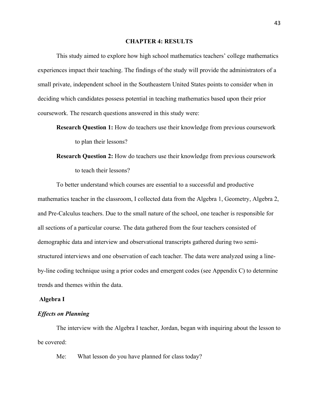#### **CHAPTER 4: RESULTS**

This study aimed to explore how high school mathematics teachers' college mathematics experiences impact their teaching. The findings of the study will provide the administrators of a small private, independent school in the Southeastern United States points to consider when in deciding which candidates possess potential in teaching mathematics based upon their prior coursework. The research questions answered in this study were:

- **Research Question 1:** How do teachers use their knowledge from previous coursework to plan their lessons?
- **Research Question 2:** How do teachers use their knowledge from previous coursework to teach their lessons?

To better understand which courses are essential to a successful and productive mathematics teacher in the classroom, I collected data from the Algebra 1, Geometry, Algebra 2, and Pre-Calculus teachers. Due to the small nature of the school, one teacher is responsible for all sections of a particular course. The data gathered from the four teachers consisted of demographic data and interview and observational transcripts gathered during two semistructured interviews and one observation of each teacher. The data were analyzed using a lineby-line coding technique using a prior codes and emergent codes (see Appendix C) to determine trends and themes within the data.

### **Algebra I**

## *Effects on Planning*

The interview with the Algebra I teacher, Jordan, began with inquiring about the lesson to be covered:

Me: What lesson do you have planned for class today?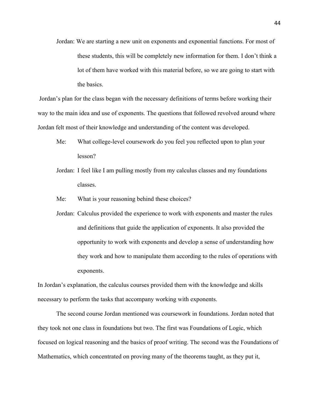Jordan: We are starting a new unit on exponents and exponential functions. For most of these students, this will be completely new information for them. I don't think a lot of them have worked with this material before, so we are going to start with the basics.

Jordan's plan for the class began with the necessary definitions of terms before working their way to the main idea and use of exponents. The questions that followed revolved around where Jordan felt most of their knowledge and understanding of the content was developed.

- Me: What college-level coursework do you feel you reflected upon to plan your lesson?
- Jordan: I feel like I am pulling mostly from my calculus classes and my foundations classes.
- Me: What is your reasoning behind these choices?
- Jordan: Calculus provided the experience to work with exponents and master the rules and definitions that guide the application of exponents. It also provided the opportunity to work with exponents and develop a sense of understanding how they work and how to manipulate them according to the rules of operations with exponents.

In Jordan's explanation, the calculus courses provided them with the knowledge and skills necessary to perform the tasks that accompany working with exponents.

The second course Jordan mentioned was coursework in foundations. Jordan noted that they took not one class in foundations but two. The first was Foundations of Logic, which focused on logical reasoning and the basics of proof writing. The second was the Foundations of Mathematics, which concentrated on proving many of the theorems taught, as they put it,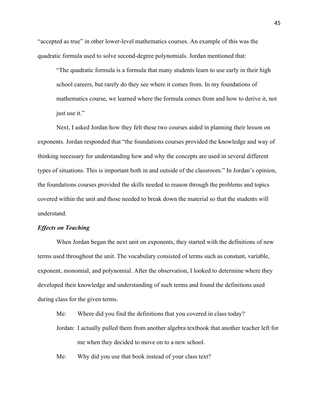"accepted as true" in other lower-level mathematics courses. An example of this was the quadratic formula used to solve second-degree polynomials. Jordan mentioned that:

"The quadratic formula is a formula that many students learn to use early in their high school careers, but rarely do they see where it comes from. In my foundations of mathematics course, we learned where the formula comes from and how to derive it, not just use it."

Next, I asked Jordan how they felt these two courses aided in planning their lesson on exponents. Jordan responded that "the foundations courses provided the knowledge and way of thinking necessary for understanding how and why the concepts are used in several different types of situations. This is important both in and outside of the classroom." In Jordan's opinion, the foundations courses provided the skills needed to reason through the problems and topics covered within the unit and those needed to break down the material so that the students will understand.

#### *Effects on Teaching*

When Jordan began the next unit on exponents, they started with the definitions of new terms used throughout the unit. The vocabulary consisted of terms such as constant, variable, exponent, monomial, and polynomial. After the observation, I looked to determine where they developed their knowledge and understanding of such terms and found the definitions used during class for the given terms.

Me: Where did you find the definitions that you covered in class today?

- Jordan: I actually pulled them from another algebra textbook that another teacher left for me when they decided to move on to a new school.
- Me: Why did you use that book instead of your class text?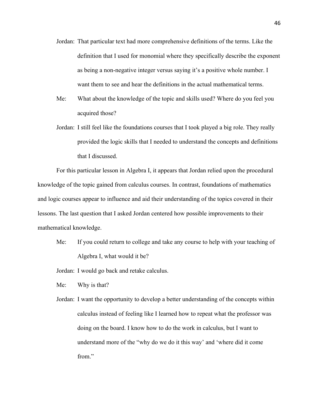- Jordan: That particular text had more comprehensive definitions of the terms. Like the definition that I used for monomial where they specifically describe the exponent as being a non-negative integer versus saying it's a positive whole number. I want them to see and hear the definitions in the actual mathematical terms.
- Me: What about the knowledge of the topic and skills used? Where do you feel you acquired those?
- Jordan: I still feel like the foundations courses that I took played a big role. They really provided the logic skills that I needed to understand the concepts and definitions that I discussed.

For this particular lesson in Algebra I, it appears that Jordan relied upon the procedural knowledge of the topic gained from calculus courses. In contrast, foundations of mathematics and logic courses appear to influence and aid their understanding of the topics covered in their lessons. The last question that I asked Jordan centered how possible improvements to their mathematical knowledge.

Me: If you could return to college and take any course to help with your teaching of Algebra I, what would it be?

Jordan: I would go back and retake calculus.

Me: Why is that?

Jordan: I want the opportunity to develop a better understanding of the concepts within calculus instead of feeling like I learned how to repeat what the professor was doing on the board. I know how to do the work in calculus, but I want to understand more of the "why do we do it this way' and 'where did it come from."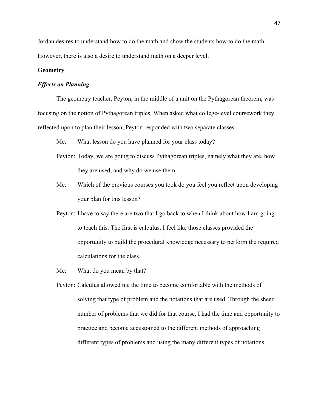Jordan desires to understand how to do the math and show the students how to do the math. However, there is also a desire to understand math on a deeper level.

#### **Geometry**

## *Effects on Planning*

The geometry teacher, Peyton, in the middle of a unit on the Pythagorean theorem, was focusing on the notion of Pythagorean triples. When asked what college-level coursework they reflected upon to plan their lesson, Peyton responded with two separate classes.

- Me: What lesson do you have planned for your class today?
- Peyton: Today, we are going to discuss Pythagorean triples, namely what they are, how they are used, and why do we use them.
- Me: Which of the previous courses you took do you feel you reflect upon developing your plan for this lesson?
- Peyton: I have to say there are two that I go back to when I think about how I am going to teach this. The first is calculus. I feel like those classes provided the opportunity to build the procedural knowledge necessary to perform the required calculations for the class.
- Me: What do you mean by that?
- Peyton: Calculus allowed me the time to become comfortable with the methods of solving that type of problem and the notations that are used. Through the sheer number of problems that we did for that course, I had the time and opportunity to practice and become accustomed to the different methods of approaching different types of problems and using the many different types of notations.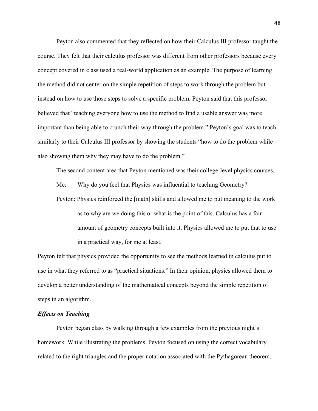Peyton also commented that they reflected on how their Calculus III professor taught the course. They felt that their calculus professor was different from other professors because every concept covered in class used a real-world application as an example. The purpose of learning the method did not center on the simple repetition of steps to work through the problem but instead on how to use those steps to solve a specific problem. Peyton said that this professor believed that "teaching everyone how to use the method to find a usable answer was more important than being able to crunch their way through the problem." Peyton's goal was to teach similarly to their Calculus III professor by showing the students "how to do the problem while also showing them why they may have to do the problem."

The second content area that Peyton mentioned was their college-level physics courses.

Me: Why do you feel that Physics was influential to teaching Geometry?

Peyton: Physics reinforced the [math] skills and allowed me to put meaning to the work as to why are we doing this or what is the point of this. Calculus has a fair amount of geometry concepts built into it. Physics allowed me to put that to use in a practical way, for me at least.

Peyton felt that physics provided the opportunity to see the methods learned in calculus put to use in what they referred to as "practical situations." In their opinion, physics allowed them to develop a better understanding of the mathematical concepts beyond the simple repetition of steps in an algorithm.

# *Effects on Teaching*

Peyton began class by walking through a few examples from the previous night's homework. While illustrating the problems, Peyton focused on using the correct vocabulary related to the right triangles and the proper notation associated with the Pythagorean theorem.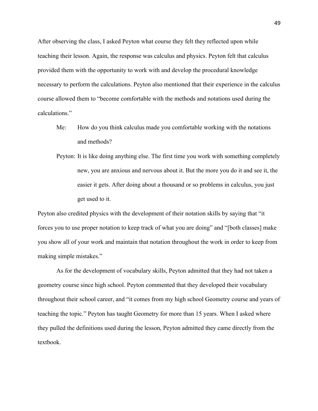After observing the class, I asked Peyton what course they felt they reflected upon while teaching their lesson. Again, the response was calculus and physics. Peyton felt that calculus provided them with the opportunity to work with and develop the procedural knowledge necessary to perform the calculations. Peyton also mentioned that their experience in the calculus course allowed them to "become comfortable with the methods and notations used during the calculations."

- Me: How do you think calculus made you comfortable working with the notations and methods?
- Peyton: It is like doing anything else. The first time you work with something completely new, you are anxious and nervous about it. But the more you do it and see it, the easier it gets. After doing about a thousand or so problems in calculus, you just get used to it.

Peyton also credited physics with the development of their notation skills by saying that "it forces you to use proper notation to keep track of what you are doing" and "[both classes] make you show all of your work and maintain that notation throughout the work in order to keep from making simple mistakes."

As for the development of vocabulary skills, Peyton admitted that they had not taken a geometry course since high school. Peyton commented that they developed their vocabulary throughout their school career, and "it comes from my high school Geometry course and years of teaching the topic." Peyton has taught Geometry for more than 15 years. When I asked where they pulled the definitions used during the lesson, Peyton admitted they came directly from the textbook.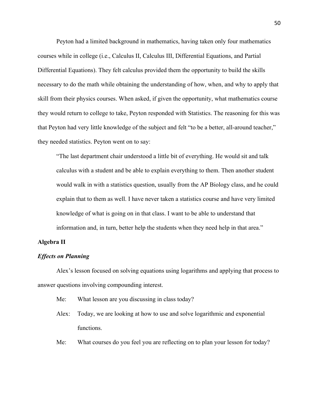Peyton had a limited background in mathematics, having taken only four mathematics courses while in college (i.e., Calculus II, Calculus III, Differential Equations, and Partial Differential Equations). They felt calculus provided them the opportunity to build the skills necessary to do the math while obtaining the understanding of how, when, and why to apply that skill from their physics courses. When asked, if given the opportunity, what mathematics course they would return to college to take, Peyton responded with Statistics. The reasoning for this was that Peyton had very little knowledge of the subject and felt "to be a better, all-around teacher," they needed statistics. Peyton went on to say:

"The last department chair understood a little bit of everything. He would sit and talk calculus with a student and be able to explain everything to them. Then another student would walk in with a statistics question, usually from the AP Biology class, and he could explain that to them as well. I have never taken a statistics course and have very limited knowledge of what is going on in that class. I want to be able to understand that information and, in turn, better help the students when they need help in that area."

## **Algebra II**

## *Effects on Planning*

Alex's lesson focused on solving equations using logarithms and applying that process to answer questions involving compounding interest.

- Me: What lesson are you discussing in class today?
- Alex: Today, we are looking at how to use and solve logarithmic and exponential functions.
- Me: What courses do you feel you are reflecting on to plan your lesson for today?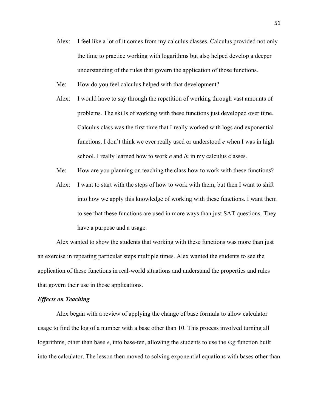- Alex: I feel like a lot of it comes from my calculus classes. Calculus provided not only the time to practice working with logarithms but also helped develop a deeper understanding of the rules that govern the application of those functions.
- Me: How do you feel calculus helped with that development?
- Alex: I would have to say through the repetition of working through vast amounts of problems. The skills of working with these functions just developed over time. Calculus class was the first time that I really worked with logs and exponential functions. I don't think we ever really used or understood *e* when I was in high school. I really learned how to work *e* and *ln* in my calculus classes.
- Me: How are you planning on teaching the class how to work with these functions?
- Alex: I want to start with the steps of how to work with them, but then I want to shift into how we apply this knowledge of working with these functions. I want them to see that these functions are used in more ways than just SAT questions. They have a purpose and a usage.

Alex wanted to show the students that working with these functions was more than just an exercise in repeating particular steps multiple times. Alex wanted the students to see the application of these functions in real-world situations and understand the properties and rules that govern their use in those applications.

### *Effects on Teaching*

Alex began with a review of applying the change of base formula to allow calculator usage to find the log of a number with a base other than 10. This process involved turning all logarithms, other than base *e*, into base-ten, allowing the students to use the *log* function built into the calculator. The lesson then moved to solving exponential equations with bases other than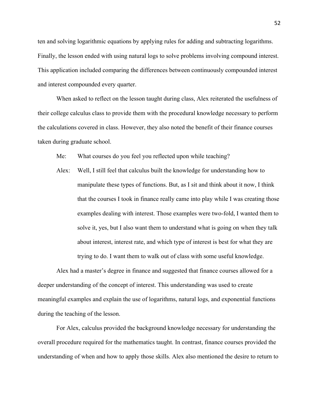ten and solving logarithmic equations by applying rules for adding and subtracting logarithms. Finally, the lesson ended with using natural logs to solve problems involving compound interest. This application included comparing the differences between continuously compounded interest and interest compounded every quarter.

When asked to reflect on the lesson taught during class, Alex reiterated the usefulness of their college calculus class to provide them with the procedural knowledge necessary to perform the calculations covered in class. However, they also noted the benefit of their finance courses taken during graduate school.

Me: What courses do you feel you reflected upon while teaching?

Alex: Well, I still feel that calculus built the knowledge for understanding how to manipulate these types of functions. But, as I sit and think about it now, I think that the courses I took in finance really came into play while I was creating those examples dealing with interest. Those examples were two-fold, I wanted them to solve it, yes, but I also want them to understand what is going on when they talk about interest, interest rate, and which type of interest is best for what they are trying to do. I want them to walk out of class with some useful knowledge.

Alex had a master's degree in finance and suggested that finance courses allowed for a deeper understanding of the concept of interest. This understanding was used to create meaningful examples and explain the use of logarithms, natural logs, and exponential functions during the teaching of the lesson.

For Alex, calculus provided the background knowledge necessary for understanding the overall procedure required for the mathematics taught. In contrast, finance courses provided the understanding of when and how to apply those skills. Alex also mentioned the desire to return to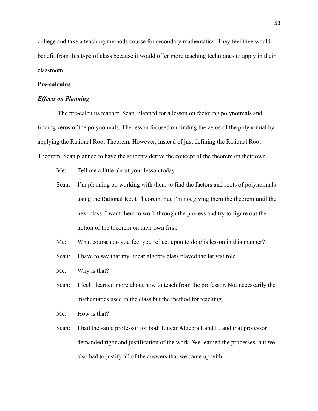college and take a teaching methods course for secondary mathematics. They feel they would benefit from this type of class because it would offer more teaching techniques to apply in their classroom.

## **Pre-calculus**

#### *Effects on Planning*

The pre-calculus teacher, Sean, planned for a lesson on factoring polynomials and finding zeros of the polynomials. The lesson focused on finding the zeros of the polynomial by applying the Rational Root Theorem. However, instead of just defining the Rational Root Theorem, Sean planned to have the students derive the concept of the theorem on their own.

- Me: Tell me a little about your lesson today
- Sean: I'm planning on working with them to find the factors and roots of polynomials using the Rational Root Theorem, but I'm not giving them the theorem until the next class. I want them to work through the process and try to figure out the notion of the theorem on their own first.
- Me: What courses do you feel you reflect upon to do this lesson in this manner?
- Sean: I have to say that my linear algebra class played the largest role.
- Me: Why is that?
- Sean: I feel I learned more about how to teach from the professor. Not necessarily the mathematics used in the class but the method for teaching.
- Me: How is that?
- Sean: I had the same professor for both Linear Algebra I and II, and that professor demanded rigor and justification of the work. We learned the processes, but we also had to justify all of the answers that we came up with.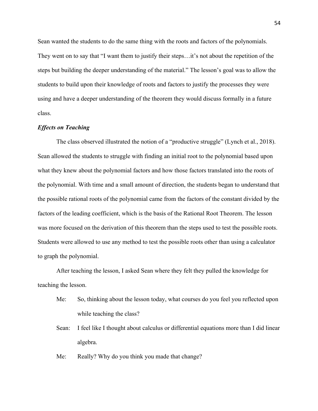Sean wanted the students to do the same thing with the roots and factors of the polynomials. They went on to say that "I want them to justify their steps…it's not about the repetition of the steps but building the deeper understanding of the material." The lesson's goal was to allow the students to build upon their knowledge of roots and factors to justify the processes they were using and have a deeper understanding of the theorem they would discuss formally in a future class.

## *Effects on Teaching*

The class observed illustrated the notion of a "productive struggle" (Lynch et al., 2018). Sean allowed the students to struggle with finding an initial root to the polynomial based upon what they knew about the polynomial factors and how those factors translated into the roots of the polynomial. With time and a small amount of direction, the students began to understand that the possible rational roots of the polynomial came from the factors of the constant divided by the factors of the leading coefficient, which is the basis of the Rational Root Theorem. The lesson was more focused on the derivation of this theorem than the steps used to test the possible roots. Students were allowed to use any method to test the possible roots other than using a calculator to graph the polynomial.

After teaching the lesson, I asked Sean where they felt they pulled the knowledge for teaching the lesson.

- Me: So, thinking about the lesson today, what courses do you feel you reflected upon while teaching the class?
- Sean: I feel like I thought about calculus or differential equations more than I did linear algebra.
- Me: Really? Why do you think you made that change?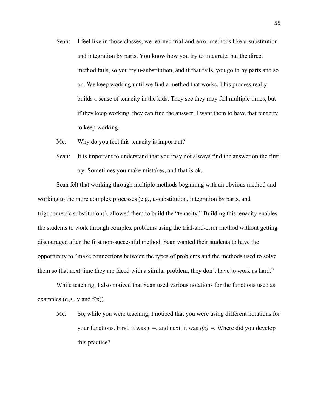- Sean: I feel like in those classes, we learned trial-and-error methods like u-substitution and integration by parts. You know how you try to integrate, but the direct method fails, so you try u-substitution, and if that fails, you go to by parts and so on. We keep working until we find a method that works. This process really builds a sense of tenacity in the kids. They see they may fail multiple times, but if they keep working, they can find the answer. I want them to have that tenacity to keep working.
- Me: Why do you feel this tenacity is important?
- Sean: It is important to understand that you may not always find the answer on the first try. Sometimes you make mistakes, and that is ok.

Sean felt that working through multiple methods beginning with an obvious method and working to the more complex processes (e.g., u-substitution, integration by parts, and trigonometric substitutions), allowed them to build the "tenacity." Building this tenacity enables the students to work through complex problems using the trial-and-error method without getting discouraged after the first non-successful method. Sean wanted their students to have the opportunity to "make connections between the types of problems and the methods used to solve them so that next time they are faced with a similar problem, they don't have to work as hard."

While teaching, I also noticed that Sean used various notations for the functions used as examples (e.g., y and  $f(x)$ ).

Me: So, while you were teaching, I noticed that you were using different notations for your functions. First, it was  $y =$ , and next, it was  $f(x) =$ . Where did you develop this practice?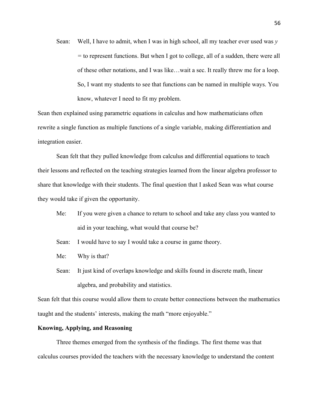Sean: Well, I have to admit, when I was in high school, all my teacher ever used was *y =* to represent functions. But when I got to college, all of a sudden, there were all of these other notations, and I was like…wait a sec. It really threw me for a loop. So, I want my students to see that functions can be named in multiple ways. You know, whatever I need to fit my problem.

Sean then explained using parametric equations in calculus and how mathematicians often rewrite a single function as multiple functions of a single variable, making differentiation and integration easier.

Sean felt that they pulled knowledge from calculus and differential equations to teach their lessons and reflected on the teaching strategies learned from the linear algebra professor to share that knowledge with their students. The final question that I asked Sean was what course they would take if given the opportunity.

- Me: If you were given a chance to return to school and take any class you wanted to aid in your teaching, what would that course be?
- Sean: I would have to say I would take a course in game theory.
- Me: Why is that?
- Sean: It just kind of overlaps knowledge and skills found in discrete math, linear algebra, and probability and statistics.

Sean felt that this course would allow them to create better connections between the mathematics taught and the students' interests, making the math "more enjoyable."

## **Knowing, Applying, and Reasoning**

Three themes emerged from the synthesis of the findings. The first theme was that calculus courses provided the teachers with the necessary knowledge to understand the content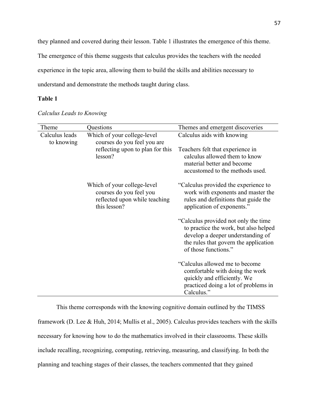they planned and covered during their lesson. Table 1 illustrates the emergence of this theme.

The emergence of this theme suggests that calculus provides the teachers with the needed

experience in the topic area, allowing them to build the skills and abilities necessary to

understand and demonstrate the methods taught during class.

# **Table 1**

| Theme                        | Questions                                                                                               | Themes and emergent discoveries                                                                                                                                                      |
|------------------------------|---------------------------------------------------------------------------------------------------------|--------------------------------------------------------------------------------------------------------------------------------------------------------------------------------------|
| Calculus leads<br>to knowing | Which of your college-level<br>courses do you feel you are                                              | Calculus aids with knowing                                                                                                                                                           |
|                              | reflecting upon to plan for this<br>lesson?                                                             | Teachers felt that experience in<br>calculus allowed them to know<br>material better and become<br>accustomed to the methods used.                                                   |
|                              | Which of your college-level<br>courses do you feel you<br>reflected upon while teaching<br>this lesson? | "Calculus provided the experience to<br>work with exponents and master the<br>rules and definitions that guide the<br>application of exponents."                                     |
|                              |                                                                                                         | "Calculus provided not only the time"<br>to practice the work, but also helped<br>develop a deeper understanding of<br>the rules that govern the application<br>of those functions." |
|                              |                                                                                                         | "Calculus allowed me to become<br>comfortable with doing the work<br>quickly and efficiently. We<br>practiced doing a lot of problems in<br>Calculus."                               |

*Calculus Leads to Knowing*

This theme corresponds with the knowing cognitive domain outlined by the TIMSS framework (D. Lee & Huh, 2014; Mullis et al., 2005). Calculus provides teachers with the skills necessary for knowing how to do the mathematics involved in their classrooms. These skills include recalling, recognizing, computing, retrieving, measuring, and classifying. In both the planning and teaching stages of their classes, the teachers commented that they gained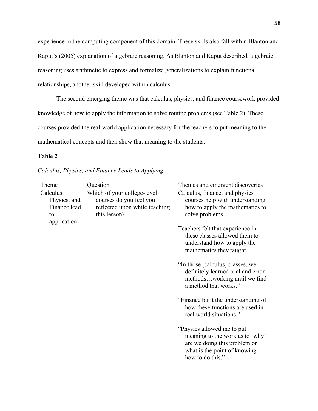experience in the computing component of this domain. These skills also fall within Blanton and Kaput's (2005) explanation of algebraic reasoning. As Blanton and Kaput described, algebraic reasoning uses arithmetic to express and formalize generalizations to explain functional relationships, another skill developed within calculus.

The second emerging theme was that calculus, physics, and finance coursework provided knowledge of how to apply the information to solve routine problems (see Table 2). These courses provided the real-world application necessary for the teachers to put meaning to the mathematical concepts and then show that meaning to the students.

# **Table 2**

| Calculus, Physics, and Finance Leads to Applying |  |  |  |
|--------------------------------------------------|--|--|--|
|--------------------------------------------------|--|--|--|

| Theme                                                          | Question                                                                                                | Themes and emergent discoveries                                                                                                                    |
|----------------------------------------------------------------|---------------------------------------------------------------------------------------------------------|----------------------------------------------------------------------------------------------------------------------------------------------------|
| Calculus,<br>Physics, and<br>Finance lead<br>to<br>application | Which of your college-level<br>courses do you feel you<br>reflected upon while teaching<br>this lesson? | Calculus, finance, and physics<br>courses help with understanding<br>how to apply the mathematics to<br>solve problems                             |
|                                                                |                                                                                                         | Teachers felt that experience in<br>these classes allowed them to<br>understand how to apply the<br>mathematics they taught.                       |
|                                                                |                                                                                                         | "In those [calculus] classes, we<br>definitely learned trial and error<br>methodsworking until we find<br>a method that works."                    |
|                                                                |                                                                                                         | "Finance built the understanding of<br>how these functions are used in<br>real world situations."                                                  |
|                                                                |                                                                                                         | "Physics allowed me to put"<br>meaning to the work as to 'why'<br>are we doing this problem or<br>what is the point of knowing<br>how to do this." |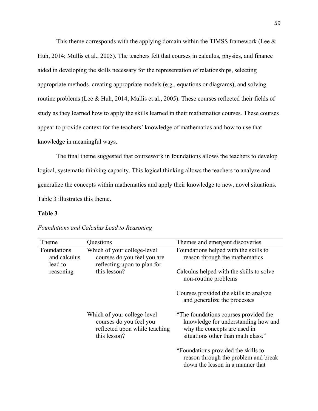This theme corresponds with the applying domain within the TIMSS framework (Lee  $\&$ Huh, 2014; Mullis et al., 2005). The teachers felt that courses in calculus, physics, and finance aided in developing the skills necessary for the representation of relationships, selecting appropriate methods, creating appropriate models (e.g., equations or diagrams), and solving routine problems (Lee & Huh, 2014; Mullis et al., 2005). These courses reflected their fields of study as they learned how to apply the skills learned in their mathematics courses. These courses appear to provide context for the teachers' knowledge of mathematics and how to use that knowledge in meaningful ways.

The final theme suggested that coursework in foundations allows the teachers to develop logical, systematic thinking capacity. This logical thinking allows the teachers to analyze and generalize the concepts within mathematics and apply their knowledge to new, novel situations. Table 3 illustrates this theme.

## **Table 3**

| Theme                                  | Questions                                                                                               | Themes and emergent discoveries                                                                                                                    |
|----------------------------------------|---------------------------------------------------------------------------------------------------------|----------------------------------------------------------------------------------------------------------------------------------------------------|
| Foundations<br>and calculus<br>lead to | Which of your college-level<br>courses do you feel you are<br>reflecting upon to plan for               | Foundations helped with the skills to<br>reason through the mathematics                                                                            |
| reasoning                              | this lesson?                                                                                            | Calculus helped with the skills to solve<br>non-routine problems                                                                                   |
|                                        |                                                                                                         | Courses provided the skills to analyze<br>and generalize the processes                                                                             |
|                                        | Which of your college-level<br>courses do you feel you<br>reflected upon while teaching<br>this lesson? | "The foundations courses provided the<br>knowledge for understanding how and<br>why the concepts are used in<br>situations other than math class." |
|                                        |                                                                                                         | "Foundations provided the skills to<br>reason through the problem and break<br>down the lesson in a manner that                                    |

## *Foundations and Calculus Lead to Reasoning*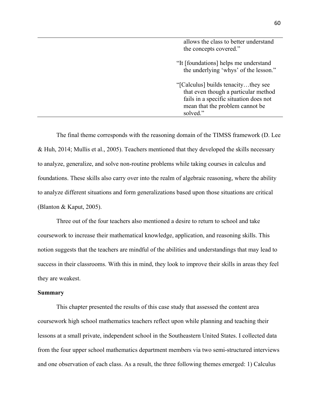| allows the class to better understand<br>the concepts covered."                                                                                                      |
|----------------------------------------------------------------------------------------------------------------------------------------------------------------------|
| "It [foundations] helps me understand<br>the underlying 'whys' of the lesson."                                                                                       |
| "[Calculus] builds tenacitythey see<br>that even though a particular method<br>fails in a specific situation does not<br>mean that the problem cannot be<br>solved." |

The final theme corresponds with the reasoning domain of the TIMSS framework (D. Lee & Huh, 2014; Mullis et al., 2005). Teachers mentioned that they developed the skills necessary to analyze, generalize, and solve non-routine problems while taking courses in calculus and foundations. These skills also carry over into the realm of algebraic reasoning, where the ability to analyze different situations and form generalizations based upon those situations are critical (Blanton & Kaput, 2005).

Three out of the four teachers also mentioned a desire to return to school and take coursework to increase their mathematical knowledge, application, and reasoning skills. This notion suggests that the teachers are mindful of the abilities and understandings that may lead to success in their classrooms. With this in mind, they look to improve their skills in areas they feel they are weakest.

## **Summary**

This chapter presented the results of this case study that assessed the content area coursework high school mathematics teachers reflect upon while planning and teaching their lessons at a small private, independent school in the Southeastern United States. I collected data from the four upper school mathematics department members via two semi-structured interviews and one observation of each class. As a result, the three following themes emerged: 1) Calculus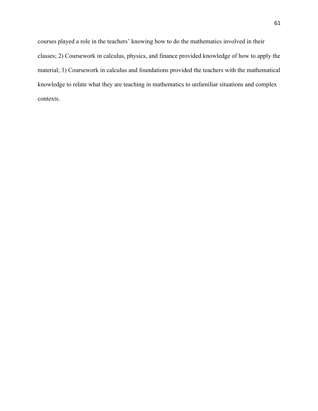courses played a role in the teachers' knowing how to do the mathematics involved in their classes; 2) Coursework in calculus, physics, and finance provided knowledge of how to apply the material; 3) Coursework in calculus and foundations provided the teachers with the mathematical knowledge to relate what they are teaching in mathematics to unfamiliar situations and complex contexts.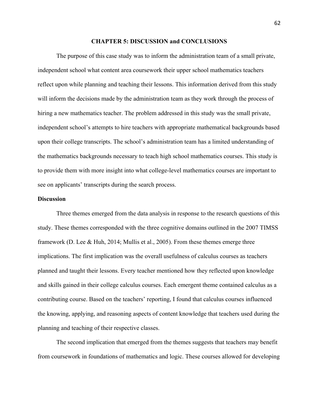#### **CHAPTER 5: DISCUSSION and CONCLUSIONS**

The purpose of this case study was to inform the administration team of a small private, independent school what content area coursework their upper school mathematics teachers reflect upon while planning and teaching their lessons. This information derived from this study will inform the decisions made by the administration team as they work through the process of hiring a new mathematics teacher. The problem addressed in this study was the small private, independent school's attempts to hire teachers with appropriate mathematical backgrounds based upon their college transcripts. The school's administration team has a limited understanding of the mathematics backgrounds necessary to teach high school mathematics courses. This study is to provide them with more insight into what college-level mathematics courses are important to see on applicants' transcripts during the search process.

## **Discussion**

Three themes emerged from the data analysis in response to the research questions of this study. These themes corresponded with the three cognitive domains outlined in the 2007 TIMSS framework (D. Lee & Huh, 2014; Mullis et al., 2005). From these themes emerge three implications. The first implication was the overall usefulness of calculus courses as teachers planned and taught their lessons. Every teacher mentioned how they reflected upon knowledge and skills gained in their college calculus courses. Each emergent theme contained calculus as a contributing course. Based on the teachers' reporting, I found that calculus courses influenced the knowing, applying, and reasoning aspects of content knowledge that teachers used during the planning and teaching of their respective classes.

The second implication that emerged from the themes suggests that teachers may benefit from coursework in foundations of mathematics and logic. These courses allowed for developing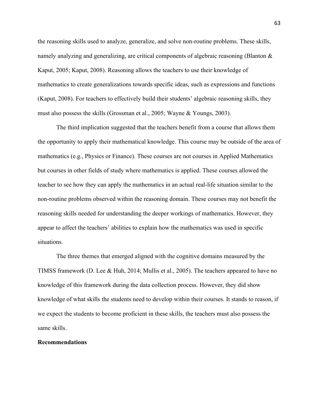the reasoning skills used to analyze, generalize, and solve non-routine problems. These skills, namely analyzing and generalizing, are critical components of algebraic reasoning (Blanton & Kaput, 2005; Kaput, 2008). Reasoning allows the teachers to use their knowledge of mathematics to create generalizations towards specific ideas, such as expressions and functions (Kaput, 2008). For teachers to effectively build their students' algebraic reasoning skills, they must also possess the skills (Grossman et al., 2005; Wayne & Youngs, 2003).

The third implication suggested that the teachers benefit from a course that allows them the opportunity to apply their mathematical knowledge. This course may be outside of the area of mathematics (e.g., Physics or Finance). These courses are not courses in Applied Mathematics but courses in other fields of study where mathematics is applied. These courses allowed the teacher to see how they can apply the mathematics in an actual real-life situation similar to the non-routine problems observed within the reasoning domain. These courses may not benefit the reasoning skills needed for understanding the deeper workings of mathematics. However, they appear to affect the teachers' abilities to explain how the mathematics was used in specific situations.

The three themes that emerged aligned with the cognitive domains measured by the TIMSS framework (D. Lee & Huh, 2014; Mullis et al., 2005). The teachers appeared to have no knowledge of this framework during the data collection process. However, they did show knowledge of what skills the students need to develop within their courses. It stands to reason, if we expect the students to become proficient in these skills, the teachers must also possess the same skills.

### **Recommendations**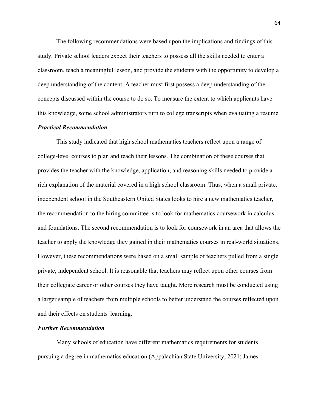The following recommendations were based upon the implications and findings of this study. Private school leaders expect their teachers to possess all the skills needed to enter a classroom, teach a meaningful lesson, and provide the students with the opportunity to develop a deep understanding of the content. A teacher must first possess a deep understanding of the concepts discussed within the course to do so. To measure the extent to which applicants have this knowledge, some school administrators turn to college transcripts when evaluating a resume.

#### *Practical Recommendation*

This study indicated that high school mathematics teachers reflect upon a range of college-level courses to plan and teach their lessons. The combination of these courses that provides the teacher with the knowledge, application, and reasoning skills needed to provide a rich explanation of the material covered in a high school classroom. Thus, when a small private, independent school in the Southeastern United States looks to hire a new mathematics teacher, the recommendation to the hiring committee is to look for mathematics coursework in calculus and foundations. The second recommendation is to look for coursework in an area that allows the teacher to apply the knowledge they gained in their mathematics courses in real-world situations. However, these recommendations were based on a small sample of teachers pulled from a single private, independent school. It is reasonable that teachers may reflect upon other courses from their collegiate career or other courses they have taught. More research must be conducted using a larger sample of teachers from multiple schools to better understand the courses reflected upon and their effects on students' learning.

# *Further Recommendation*

Many schools of education have different mathematics requirements for students pursuing a degree in mathematics education (Appalachian State University, 2021; James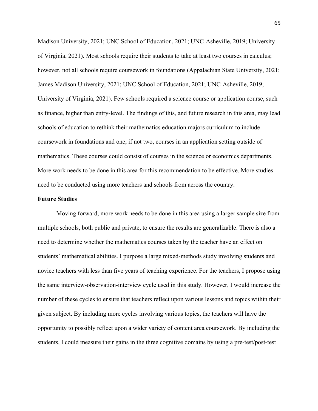Madison University, 2021; UNC School of Education, 2021; UNC-Asheville, 2019; University of Virginia, 2021). Most schools require their students to take at least two courses in calculus; however, not all schools require coursework in foundations (Appalachian State University, 2021; James Madison University, 2021; UNC School of Education, 2021; UNC-Asheville, 2019; University of Virginia, 2021). Few schools required a science course or application course, such as finance, higher than entry-level. The findings of this, and future research in this area, may lead schools of education to rethink their mathematics education majors curriculum to include coursework in foundations and one, if not two, courses in an application setting outside of mathematics. These courses could consist of courses in the science or economics departments. More work needs to be done in this area for this recommendation to be effective. More studies need to be conducted using more teachers and schools from across the country.

## **Future Studies**

Moving forward, more work needs to be done in this area using a larger sample size from multiple schools, both public and private, to ensure the results are generalizable. There is also a need to determine whether the mathematics courses taken by the teacher have an effect on students' mathematical abilities. I purpose a large mixed-methods study involving students and novice teachers with less than five years of teaching experience. For the teachers, I propose using the same interview-observation-interview cycle used in this study. However, I would increase the number of these cycles to ensure that teachers reflect upon various lessons and topics within their given subject. By including more cycles involving various topics, the teachers will have the opportunity to possibly reflect upon a wider variety of content area coursework. By including the students, I could measure their gains in the three cognitive domains by using a pre-test/post-test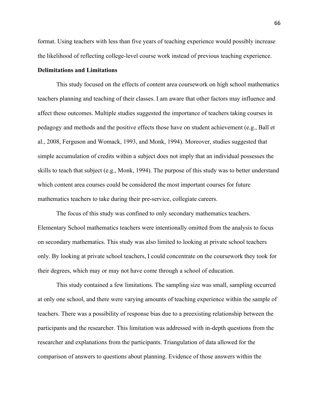format. Using teachers with less than five years of teaching experience would possibly increase the likelihood of reflecting college-level course work instead of previous teaching experience.

## **Delimitations and Limitations**

This study focused on the effects of content area coursework on high school mathematics teachers planning and teaching of their classes. I am aware that other factors may influence and affect these outcomes. Multiple studies suggested the importance of teachers taking courses in pedagogy and methods and the positive effects those have on student achievement (e.g., Ball et al., 2008, Ferguson and Womack, 1993, and Monk, 1994). Moreover, studies suggested that simple accumulation of credits within a subject does not imply that an individual possesses the skills to teach that subject (e.g., Monk, 1994). The purpose of this study was to better understand which content area courses could be considered the most important courses for future mathematics teachers to take during their pre-service, collegiate careers.

The focus of this study was confined to only secondary mathematics teachers. Elementary School mathematics teachers were intentionally omitted from the analysis to focus on secondary mathematics. This study was also limited to looking at private school teachers only. By looking at private school teachers, I could concentrate on the coursework they took for their degrees, which may or may not have come through a school of education.

This study contained a few limitations. The sampling size was small, sampling occurred at only one school, and there were varying amounts of teaching experience within the sample of teachers. There was a possibility of response bias due to a preexisting relationship between the participants and the researcher. This limitation was addressed with in-depth questions from the researcher and explanations from the participants. Triangulation of data allowed for the comparison of answers to questions about planning. Evidence of those answers within the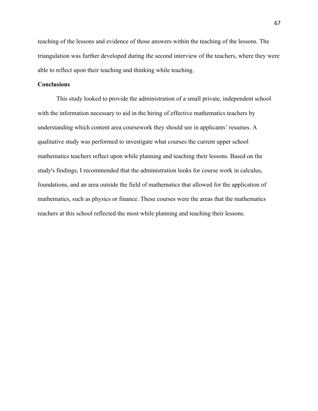teaching of the lessons and evidence of those answers within the teaching of the lessons. The triangulation was further developed during the second interview of the teachers, where they were able to reflect upon their teaching and thinking while teaching.

# **Conclusions**

This study looked to provide the administration of a small private, independent school with the information necessary to aid in the hiring of effective mathematics teachers by understanding which content area coursework they should see in applicants' resumes. A qualitative study was performed to investigate what courses the current upper school mathematics teachers reflect upon while planning and teaching their lessons. Based on the study's findings, I recommended that the administration looks for course work in calculus, foundations, and an area outside the field of mathematics that allowed for the application of mathematics, such as physics or finance. These courses were the areas that the mathematics teachers at this school reflected the most while planning and teaching their lessons.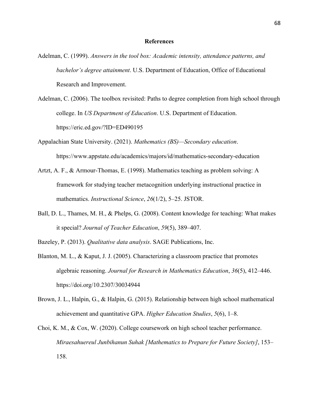#### **References**

- Adelman, C. (1999). *Answers in the tool box: Academic intensity, attendance patterns, and bachelor's degree attainment*. U.S. Department of Education, Office of Educational Research and Improvement.
- Adelman, C. (2006). The toolbox revisited: Paths to degree completion from high school through college. In *US Department of Education*. U.S. Department of Education. https://eric.ed.gov/?ID=ED490195
- Appalachian State University. (2021). *Mathematics (BS)—Secondary education*. https://www.appstate.edu/academics/majors/id/mathematics-secondary-education
- Artzt, A. F., & Armour-Thomas, E. (1998). Mathematics teaching as problem solving: A framework for studying teacher metacognition underlying instructional practice in mathematics. *Instructional Science*, *26*(1/2), 5–25. JSTOR.
- Ball, D. L., Thames, M. H., & Phelps, G. (2008). Content knowledge for teaching: What makes it special? *Journal of Teacher Education*, *59*(5), 389–407.
- Bazeley, P. (2013). *Qualitative data analysis*. SAGE Publications, Inc.
- Blanton, M. L., & Kaput, J. J. (2005). Characterizing a classroom practice that promotes algebraic reasoning. *Journal for Research in Mathematics Education*, *36*(5), 412–446. https://doi.org/10.2307/30034944
- Brown, J. L., Halpin, G., & Halpin, G. (2015). Relationship between high school mathematical achievement and quantitative GPA. *Higher Education Studies*, *5*(6), 1–8.
- Choi, K. M., & Cox, W. (2020). College coursework on high school teacher performance. *Miraesahuereul Junbihanun Suhak [Mathematics to Prepare for Future Society]*, 153– 158.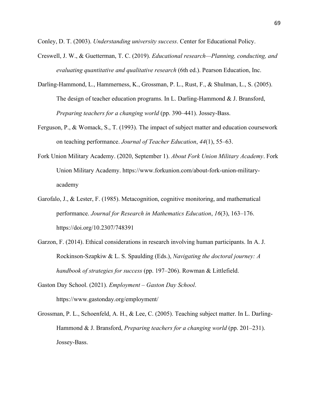Conley, D. T. (2003). *Understanding university success*. Center for Educational Policy.

- Creswell, J. W., & Guetterman, T. C. (2019). *Educational research—Planning, conducting, and evaluating quantitative and qualitative research* (6th ed.). Pearson Education, Inc.
- Darling-Hammond, L., Hammerness, K., Grossman, P. L., Rust, F., & Shulman, L., S. (2005). The design of teacher education programs. In L. Darling-Hammond & J. Bransford, *Preparing teachers for a changing world* (pp. 390–441). Jossey-Bass.
- Ferguson, P., & Womack, S., T. (1993). The impact of subject matter and education coursework on teaching performance. *Journal of Teacher Education*, *44*(1), 55–63.
- Fork Union Military Academy. (2020, September 1). *About Fork Union Military Academy*. Fork Union Military Academy. https://www.forkunion.com/about-fork-union-militaryacademy
- Garofalo, J., & Lester, F. (1985). Metacognition, cognitive monitoring, and mathematical performance. *Journal for Research in Mathematics Education*, *16*(3), 163–176. https://doi.org/10.2307/748391
- Garzon, F. (2014). Ethical considerations in research involving human participants. In A. J. Rockinson-Szapkiw & L. S. Spaulding (Eds.), *Navigating the doctoral journey: A handbook of strategies for success* (pp. 197–206). Rowman & Littlefield.
- Gaston Day School. (2021). *Employment – Gaston Day School*. https://www.gastonday.org/employment/
- Grossman, P. L., Schoenfeld, A. H., & Lee, C. (2005). Teaching subject matter. In L. Darling-Hammond & J. Bransford, *Preparing teachers for a changing world* (pp. 201–231). Jossey-Bass.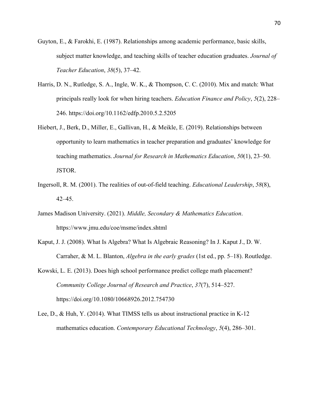- Guyton, E., & Farokhi, E. (1987). Relationships among academic performance, basic skills, subject matter knowledge, and teaching skills of teacher education graduates. *Journal of Teacher Education*, *38*(5), 37–42.
- Harris, D. N., Rutledge, S. A., Ingle, W. K., & Thompson, C. C. (2010). Mix and match: What principals really look for when hiring teachers. *Education Finance and Policy*, *5*(2), 228– 246. https://doi.org/10.1162/edfp.2010.5.2.5205
- Hiebert, J., Berk, D., Miller, E., Gallivan, H., & Meikle, E. (2019). Relationships between opportunity to learn mathematics in teacher preparation and graduates' knowledge for teaching mathematics. *Journal for Research in Mathematics Education*, *50*(1), 23–50. JSTOR.
- Ingersoll, R. M. (2001). The realities of out-of-field teaching. *Educational Leadership*, *58*(8), 42–45.
- James Madison University. (2021). *Middle, Secondary & Mathematics Education*. https://www.jmu.edu/coe/msme/index.shtml
- Kaput, J. J. (2008). What Is Algebra? What Is Algebraic Reasoning? In J. Kaput J., D. W. Carraher, & M. L. Blanton, *Algebra in the early grades* (1st ed., pp. 5–18). Routledge.
- Kowski, L. E. (2013). Does high school performance predict college math placement? *Community College Journal of Research and Practice*, *37*(7), 514–527. https://doi.org/10.1080/10668926.2012.754730
- Lee, D., & Huh, Y. (2014). What TIMSS tells us about instructional practice in K-12 mathematics education. *Contemporary Educational Technology*, *5*(4), 286–301.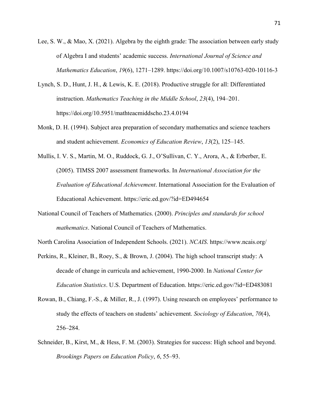- Lee, S. W., & Mao, X. (2021). Algebra by the eighth grade: The association between early study of Algebra I and students' academic success. *International Journal of Science and Mathematics Education*, *19*(6), 1271–1289. https://doi.org/10.1007/s10763-020-10116-3
- Lynch, S. D., Hunt, J. H., & Lewis, K. E. (2018). Productive struggle for all: Differentiated instruction. *Mathematics Teaching in the Middle School*, *23*(4), 194–201. https://doi.org/10.5951/mathteacmiddscho.23.4.0194
- Monk, D. H. (1994). Subject area preparation of secondary mathematics and science teachers and student achievement. *Economics of Education Review*, *13*(2), 125–145.
- Mullis, I. V. S., Martin, M. O., Ruddock, G. J., O'Sullivan, C. Y., Arora, A., & Erberber, E. (2005). TIMSS 2007 assessment frameworks. In *International Association for the Evaluation of Educational Achievement*. International Association for the Evaluation of Educational Achievement. https://eric.ed.gov/?id=ED494654
- National Council of Teachers of Mathematics. (2000). *Principles and standards for school mathematics*. National Council of Teachers of Mathematics.

North Carolina Association of Independent Schools. (2021). *NCAIS*. https://www.ncais.org/

- Perkins, R., Kleiner, B., Roey, S., & Brown, J. (2004). The high school transcript study: A decade of change in curricula and achievement, 1990-2000. In *National Center for Education Statistics*. U.S. Department of Education. https://eric.ed.gov/?id=ED483081
- Rowan, B., Chiang, F.-S., & Miller, R., J. (1997). Using research on employees' performance to study the effects of teachers on students' achievement. *Sociology of Education*, *70*(4), 256–284.
- Schneider, B., Kirst, M., & Hess, F. M. (2003). Strategies for success: High school and beyond. *Brookings Papers on Education Policy*, *6*, 55–93.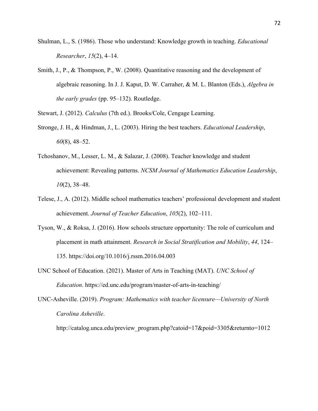- Shulman, L., S. (1986). Those who understand: Knowledge growth in teaching. *Educational Researcher*, *15*(2), 4–14.
- Smith, J., P., & Thompson, P., W. (2008). Quantitative reasoning and the development of algebraic reasoning. In J. J. Kaput, D. W. Carraher, & M. L. Blanton (Eds.), *Algebra in the early grades* (pp. 95–132). Routledge.
- Stewart, J. (2012). *Calculus* (7th ed.). Brooks/Cole, Cengage Learning.
- Stronge, J. H., & Hindman, J., L. (2003). Hiring the best teachers. *Educational Leadership*, *60*(8), 48–52.
- Tchoshanov, M., Lesser, L. M., & Salazar, J. (2008). Teacher knowledge and student achievement: Revealing patterns. *NCSM Journal of Mathematics Education Leadership*, *10*(2), 38–48.
- Telese, J., A. (2012). Middle school mathematics teachers' professional development and student achievement. *Journal of Teacher Education*, *105*(2), 102–111.
- Tyson, W., & Roksa, J. (2016). How schools structure opportunity: The role of curriculum and placement in math attainment. *Research in Social Stratification and Mobility*, *44*, 124– 135. https://doi.org/10.1016/j.rssm.2016.04.003
- UNC School of Education. (2021). Master of Arts in Teaching (MAT). *UNC School of Education*. https://ed.unc.edu/program/master-of-arts-in-teaching/
- UNC-Asheville. (2019). *Program: Mathematics with teacher licensure—University of North Carolina Asheville*.

http://catalog.unca.edu/preview\_program.php?catoid=17&poid=3305&returnto=1012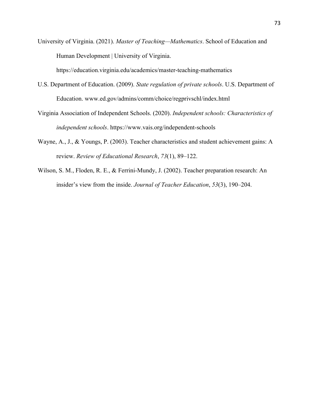University of Virginia. (2021). *Master of Teaching—Mathematics*. School of Education and Human Development | University of Virginia.

https://education.virginia.edu/academics/master-teaching-mathematics

- U.S. Department of Education. (2009). *State regulation of private schools*. U.S. Department of Education. www.ed.gov/admins/comm/choice/regprivschl/index.html
- Virginia Association of Independent Schools. (2020). *Independent schools: Characteristics of independent schools*. https://www.vais.org/independent-schools
- Wayne, A., J., & Youngs, P. (2003). Teacher characteristics and student achievement gains: A review. *Review of Educational Research*, *73*(1), 89–122.
- Wilson, S. M., Floden, R. E., & Ferrini-Mundy, J. (2002). Teacher preparation research: An insider's view from the inside. *Journal of Teacher Education*, *53*(3), 190–204.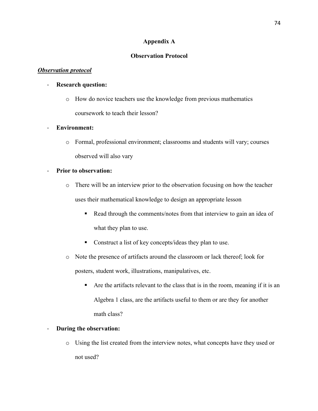#### **Appendix A**

#### **Observation Protocol**

#### *Observation protocol*

#### - **Research question:**

o How do novice teachers use the knowledge from previous mathematics coursework to teach their lesson?

#### - **Environment:**

o Formal, professional environment; classrooms and students will vary; courses observed will also vary

#### - **Prior to observation:**

- o There will be an interview prior to the observation focusing on how the teacher uses their mathematical knowledge to design an appropriate lesson
	- Read through the comments/notes from that interview to gain an idea of what they plan to use.
	- Construct a list of key concepts/ideas they plan to use.
- o Note the presence of artifacts around the classroom or lack thereof; look for posters, student work, illustrations, manipulatives, etc.
	- § Are the artifacts relevant to the class that is in the room, meaning if it is an Algebra 1 class, are the artifacts useful to them or are they for another math class?

#### - **During the observation:**

o Using the list created from the interview notes, what concepts have they used or not used?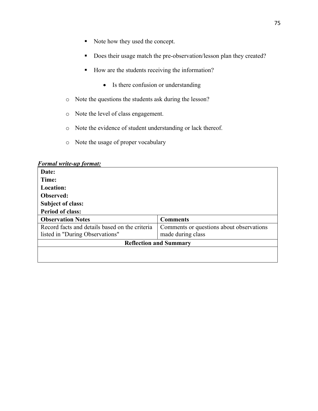- Note how they used the concept.
- Does their usage match the pre-observation/lesson plan they created?
- How are the students receiving the information?
	- Is there confusion or understanding
- o Note the questions the students ask during the lesson?
- o Note the level of class engagement.
- o Note the evidence of student understanding or lack thereof.
- o Note the usage of proper vocabulary

|  |  | <b>Formal write-up format:</b> |  |
|--|--|--------------------------------|--|
|--|--|--------------------------------|--|

| Date:                                          |                                          |  |  |  |
|------------------------------------------------|------------------------------------------|--|--|--|
| Time:                                          |                                          |  |  |  |
| <b>Location:</b>                               |                                          |  |  |  |
| <b>Observed:</b>                               |                                          |  |  |  |
| <b>Subject of class:</b>                       |                                          |  |  |  |
| <b>Period of class:</b>                        |                                          |  |  |  |
| <b>Observation Notes</b>                       | <b>Comments</b>                          |  |  |  |
| Record facts and details based on the criteria | Comments or questions about observations |  |  |  |
| listed in "During Observations"                | made during class                        |  |  |  |
| <b>Reflection and Summary</b>                  |                                          |  |  |  |
|                                                |                                          |  |  |  |
|                                                |                                          |  |  |  |
|                                                |                                          |  |  |  |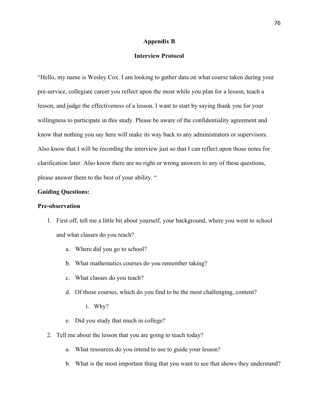#### **Appendix B**

#### **Interview Protocol**

"Hello, my name is Wesley Cox. I am looking to gather data on what course taken during your pre-service, collegiate career you reflect upon the most while you plan for a lesson, teach a lesson, and judge the effectiveness of a lesson. I want to start by saying thank you for your willingness to participate in this study. Please be aware of the confidentiality agreement and know that nothing you say here will make its way back to any administrators or supervisors. Also know that I will be recording the interview just so that I can reflect upon those notes for clarification later. Also know there are no right or wrong answers to any of these questions, please answer them to the best of your ability. "

#### **Guiding Questions:**

#### **Pre-observation**

- 1. First off, tell me a little bit about yourself, your background, where you went to school and what classes do you teach?
	- a. Where did you go to school?
	- b. What mathematics courses do you remember taking?
	- c. What classes do you teach?
	- d. Of those courses, which do you find to be the most challenging, content?
		- i. Why?
	- e. Did you study that much in college?
- 2. Tell me about the lesson that you are going to teach today?
	- a. What resources do you intend to use to guide your lesson?
	- b. What is the most important thing that you want to see that shows they understand?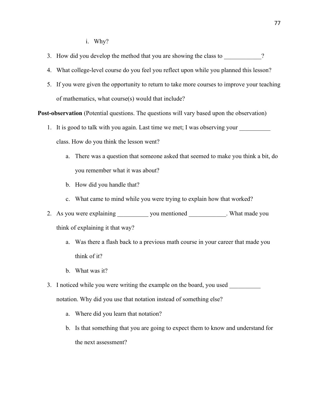i. Why?

- 3. How did you develop the method that you are showing the class to  $\frac{1}{2}$ ?
- 4. What college-level course do you feel you reflect upon while you planned this lesson?
- 5. If you were given the opportunity to return to take more courses to improve your teaching of mathematics, what course(s) would that include?

**Post-observation** (Potential questions. The questions will vary based upon the observation)

- 1. It is good to talk with you again. Last time we met; I was observing your class. How do you think the lesson went?
	- a. There was a question that someone asked that seemed to make you think a bit, do you remember what it was about?
	- b. How did you handle that?
	- c. What came to mind while you were trying to explain how that worked?
- 2. As you were explaining \_\_\_\_\_\_\_\_\_\_ you mentioned \_\_\_\_\_\_\_\_\_\_\_. What made you think of explaining it that way?
	- a. Was there a flash back to a previous math course in your career that made you think of it?
	- b. What was it?
- 3. I noticed while you were writing the example on the board, you used notation. Why did you use that notation instead of something else?
	- a. Where did you learn that notation?
	- b. Is that something that you are going to expect them to know and understand for the next assessment?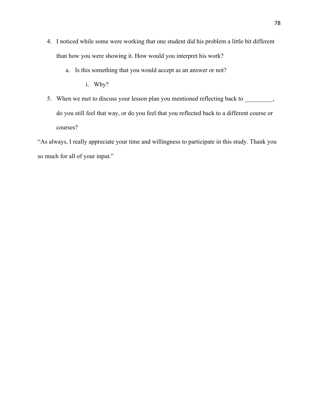- 4. I noticed while some were working that one student did his problem a little bit different than how you were showing it. How would you interpret his work?
	- a. Is this something that you would accept as an answer or not?

i. Why?

5. When we met to discuss your lesson plan you mentioned reflecting back to \_\_\_\_\_\_\_, do you still feel that way, or do you feel that you reflected back to a different course or courses?

"As always, I really appreciate your time and willingness to participate in this study. Thank you so much for all of your input."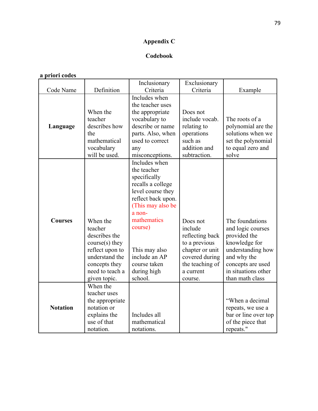# **Appendix C**

# **Codebook**

# **a priori codes**

|                 |                 | Inclusionary       | Exclusionary    |                      |
|-----------------|-----------------|--------------------|-----------------|----------------------|
| Code Name       | Definition      | Criteria           | Criteria        | Example              |
|                 |                 | Includes when      |                 |                      |
|                 |                 | the teacher uses   |                 |                      |
|                 | When the        | the appropriate    | Does not        |                      |
|                 | teacher         | vocabulary to      | include vocab.  | The roots of a       |
| Language        | describes how   | describe or name   | relating to     | polynomial are the   |
|                 | the             | parts. Also, when  | operations      | solutions when we    |
|                 | mathematical    | used to correct    | such as         | set the polynomial   |
|                 | vocabulary      | any                | addition and    | to equal zero and    |
|                 | will be used.   | misconceptions.    | subtraction.    | solve                |
|                 |                 | Includes when      |                 |                      |
|                 |                 | the teacher        |                 |                      |
|                 |                 | specifically       |                 |                      |
|                 |                 | recalls a college  |                 |                      |
|                 |                 | level course they  |                 |                      |
|                 |                 | reflect back upon. |                 |                      |
|                 |                 | (This may also be  |                 |                      |
|                 |                 | a non-             |                 |                      |
| <b>Courses</b>  | When the        | mathematics        | Does not        | The foundations      |
|                 | teacher         | course)            | include         | and logic courses    |
|                 | describes the   |                    | reflecting back | provided the         |
|                 | course(s) they  |                    | to a previous   | knowledge for        |
|                 | reflect upon to | This may also      | chapter or unit | understanding how    |
|                 | understand the  | include an AP      | covered during  | and why the          |
|                 | concepts they   | course taken       | the teaching of | concepts are used    |
|                 | need to teach a | during high        | a current       | in situations other  |
|                 | given topic.    | school.            | course.         | than math class      |
|                 | When the        |                    |                 |                      |
|                 | teacher uses    |                    |                 |                      |
|                 | the appropriate |                    |                 | "When a decimal      |
| <b>Notation</b> | notation or     |                    |                 | repeats, we use a    |
|                 | explains the    | Includes all       |                 | bar or line over top |
|                 | use of that     | mathematical       |                 | of the piece that    |
|                 | notation.       | notations.         |                 | repeats."            |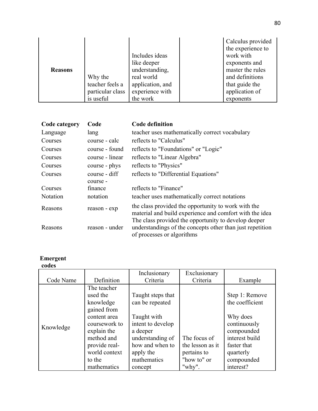|                |                  |                  | Calculus provided |
|----------------|------------------|------------------|-------------------|
|                |                  |                  | the experience to |
|                |                  | Includes ideas   | work with         |
|                |                  | like deeper      | exponents and     |
| <b>Reasons</b> |                  | understanding,   | master the rules  |
|                | Why the          | real world       | and definitions   |
|                | teacher feels a  | application, and | that guide the    |
|                | particular class | experience with  | application of    |
|                | is useful        | the work         | exponents         |

| Code category   | Code            | <b>Code definition</b>                                                                                                                          |
|-----------------|-----------------|-------------------------------------------------------------------------------------------------------------------------------------------------|
| Language        | lang            | teacher uses mathematically correct vocabulary                                                                                                  |
| Courses         | course - calc   | reflects to "Calculus"                                                                                                                          |
| Courses         | course - found  | reflects to "Foundations" or "Logic"                                                                                                            |
| Courses         | course - linear | reflects to "Linear Algebra"                                                                                                                    |
| Courses         | course - phys   | reflects to "Physics"                                                                                                                           |
| Courses         | course - diff   | reflects to "Differential Equations"                                                                                                            |
|                 | course -        |                                                                                                                                                 |
| Courses         | finance         | reflects to "Finance"                                                                                                                           |
| <b>Notation</b> | notation        | teacher uses mathematically correct notations                                                                                                   |
| Reasons         | reason - exp    | the class provided the opportunity to work with the<br>material and build experience and comfort with the idea                                  |
| Reasons         | reason - under  | The class provided the opportunity to develop deeper<br>understandings of the concepts other than just repetition<br>of processes or algorithms |

#### **Emergent**

### **codes**

|           |                                                                                                                                                               | Inclusionary                                                                                                                                            | Exclusionary                                                   |                                                                                                                                         |
|-----------|---------------------------------------------------------------------------------------------------------------------------------------------------------------|---------------------------------------------------------------------------------------------------------------------------------------------------------|----------------------------------------------------------------|-----------------------------------------------------------------------------------------------------------------------------------------|
| Code Name | Definition                                                                                                                                                    | Criteria                                                                                                                                                | Criteria                                                       | Example                                                                                                                                 |
| Knowledge | The teacher<br>used the<br>knowledge<br>gained from<br>content area<br>coursework to<br>explain the<br>method and<br>provide real-<br>world context<br>to the | Taught steps that<br>can be repeated<br>Taught with<br>intent to develop<br>a deeper<br>understanding of<br>how and when to<br>apply the<br>mathematics | The focus of<br>the lesson as it<br>pertains to<br>"how to" or | Step 1: Remove<br>the coefficient<br>Why does<br>continuously<br>compounded<br>interest build<br>faster that<br>quarterly<br>compounded |
|           | mathematics                                                                                                                                                   | concept                                                                                                                                                 | "why".                                                         | interest?                                                                                                                               |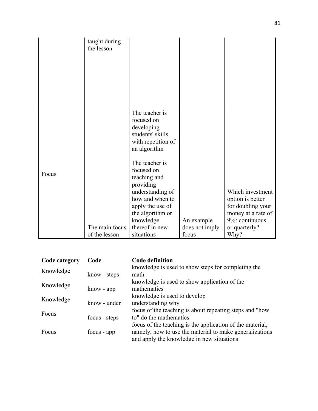|       | taught during<br>the lesson |                                                                                                                                                                                                                                                                                 |                              |                                                                                                                    |
|-------|-----------------------------|---------------------------------------------------------------------------------------------------------------------------------------------------------------------------------------------------------------------------------------------------------------------------------|------------------------------|--------------------------------------------------------------------------------------------------------------------|
| Focus | The main focus              | The teacher is<br>focused on<br>developing<br>students' skills<br>with repetition of<br>an algorithm<br>The teacher is<br>focused on<br>teaching and<br>providing<br>understanding of<br>how and when to<br>apply the use of<br>the algorithm or<br>knowledge<br>thereof in new | An example<br>does not imply | Which investment<br>option is better<br>for doubling your<br>money at a rate of<br>9%: continuous<br>or quarterly? |
|       | of the lesson               | situations                                                                                                                                                                                                                                                                      | focus                        | Why?                                                                                                               |

| Code category | Code          | <b>Code definition</b>                                    |
|---------------|---------------|-----------------------------------------------------------|
| Knowledge     |               | knowledge is used to show steps for completing the        |
|               | know - steps  | math                                                      |
| Knowledge     |               | knowledge is used to show application of the              |
|               | know - app    | mathematics                                               |
| Knowledge     |               | knowledge is used to develop                              |
|               | know - under  | understanding why                                         |
| Focus         |               | focus of the teaching is about repeating steps and "how"  |
|               | focus - steps | to" do the mathematics                                    |
|               |               | focus of the teaching is the application of the material, |
| Focus         | focus - app   | namely, how to use the material to make generalizations   |
|               |               | and apply the knowledge in new situations                 |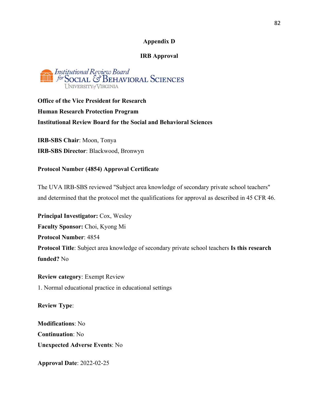#### **Appendix D**

#### **IRB Approval**

## Institutional Review Board **JULE** for SOCIAL & BEHAVIORAL SCIENCES UNIVERSITY of VIRGINIA

**Office of the Vice President for Research Human Research Protection Program Institutional Review Board for the Social and Behavioral Sciences** 

**IRB-SBS Chair**: Moon, Tonya **IRB-SBS Director**: Blackwood, Bronwyn

#### **Protocol Number (4854) Approval Certificate**

The UVA IRB-SBS reviewed "Subject area knowledge of secondary private school teachers" and determined that the protocol met the qualifications for approval as described in 45 CFR 46.

**Principal Investigator:** Cox, Wesley **Faculty Sponsor:** Choi, Kyong Mi **Protocol Number**: 4854 **Protocol Title**: Subject area knowledge of secondary private school teachers **Is this research funded?** No

**Review category**: Exempt Review 1. Normal educational practice in educational settings

**Review Type**:

**Modifications**: No **Continuation**: No **Unexpected Adverse Events**: No

**Approval Date**: 2022-02-25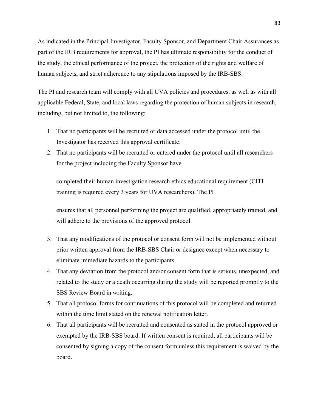As indicated in the Principal Investigator, Faculty Sponsor, and Department Chair Assurances as part of the IRB requirements for approval, the PI has ultimate responsibility for the conduct of the study, the ethical performance of the project, the protection of the rights and welfare of human subjects, and strict adherence to any stipulations imposed by the IRB-SBS.

The PI and research team will comply with all UVA policies and procedures, as well as with all applicable Federal, State, and local laws regarding the protection of human subjects in research, including, but not limited to, the following:

- 1. That no participants will be recruited or data accessed under the protocol until the Investigator has received this approval certificate.
- 2. That no participants will be recruited or entered under the protocol until all researchers for the project including the Faculty Sponsor have

completed their human investigation research ethics educational requirement (CITI training is required every 3 years for UVA researchers). The PI

ensures that all personnel performing the project are qualified, appropriately trained, and will adhere to the provisions of the approved protocol.

- 3. That any modifications of the protocol or consent form will not be implemented without prior written approval from the IRB-SBS Chair or designee except when necessary to eliminate immediate hazards to the participants.
- 4. That any deviation from the protocol and/or consent form that is serious, unexpected, and related to the study or a death occurring during the study will be reported promptly to the SBS Review Board in writing.
- 5. That all protocol forms for continuations of this protocol will be completed and returned within the time limit stated on the renewal notification letter.
- 6. That all participants will be recruited and consented as stated in the protocol approved or exempted by the IRB-SBS board. If written consent is required, all participants will be consented by signing a copy of the consent form unless this requirement is waived by the board.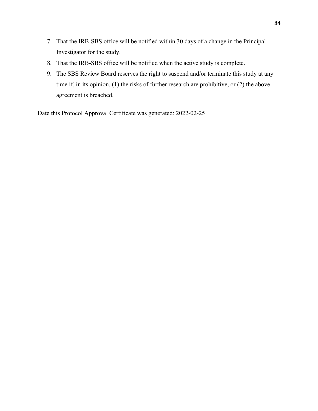- 7. That the IRB-SBS office will be notified within 30 days of a change in the Principal Investigator for the study.
- 8. That the IRB-SBS office will be notified when the active study is complete.
- 9. The SBS Review Board reserves the right to suspend and/or terminate this study at any time if, in its opinion, (1) the risks of further research are prohibitive, or (2) the above agreement is breached.

Date this Protocol Approval Certificate was generated: 2022-02-25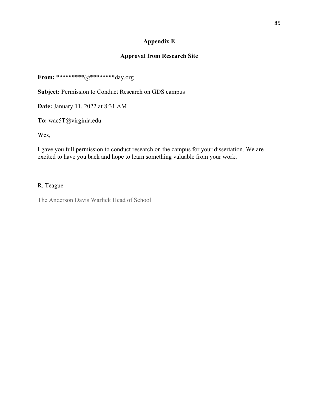## **Appendix E**

## **Approval from Research Site**

**From:** \*\*\*\*\*\*\*\*\*@\*\*\*\*\*\*\*\*day.org

**Subject:** Permission to Conduct Research on GDS campus

**Date:** January 11, 2022 at 8:31 AM

**To:** wac5T@virginia.edu

Wes,

I gave you full permission to conduct research on the campus for your dissertation. We are excited to have you back and hope to learn something valuable from your work.

#### R. Teague

The Anderson Davis Warlick Head of School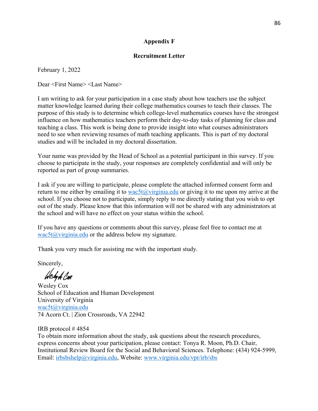## **Appendix F**

#### **Recruitment Letter**

February 1, 2022

Dear <First Name> <Last Name>

I am writing to ask for your participation in a case study about how teachers use the subject matter knowledge learned during their college mathematics courses to teach their classes. The purpose of this study is to determine which college-level mathematics courses have the strongest influence on how mathematics teachers perform their day-to-day tasks of planning for class and teaching a class. This work is being done to provide insight into what courses administrators need to see when reviewing resumes of math teaching applicants. This is part of my doctoral studies and will be included in my doctoral dissertation.

Your name was provided by the Head of School as a potential participant in this survey. If you choose to participate in the study, your responses are completely confidential and will only be reported as part of group summaries.

I ask if you are willing to participate, please complete the attached informed consent form and return to me either by emailing it to wac5t@virginia.edu or giving it to me upon my arrive at the school. If you choose not to participate, simply reply to me directly stating that you wish to opt out of the study. Please know that this information will not be shared with any administrators at the school and will have no effect on your status within the school.

If you have any questions or comments about this survey, please feel free to contact me at  $wac5t@virginia.edu$  or the address below my signature.

Thank you very much for assisting me with the important study.

Sincerely,

Wesly A Cer

Wesley Cox School of Education and Human Development University of Virginia wac5t@virginia.edu 74 Acorn Ct. | Zion Crossroads, VA 22942

IRB protocol # 4854 To obtain more information about the study, ask questions about the research procedures, express concerns about your participation, please contact: Tonya R. Moon, Ph.D. Chair, Institutional Review Board for the Social and Behavioral Sciences. Telephone: (434) 924-5999, Email: irbsbshelp@virginia.edu, Website: www.virginia.edu/vpr/irb/sbs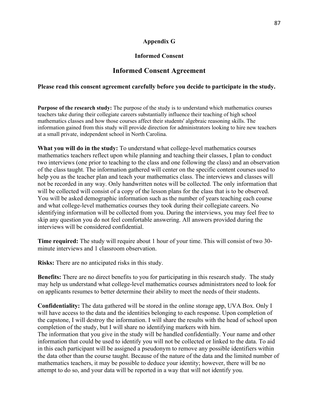## **Appendix G**

#### **Informed Consent**

# **Informed Consent Agreement**

#### **Please read this consent agreement carefully before you decide to participate in the study.**

**Purpose of the research study:** The purpose of the study is to understand which mathematics courses teachers take during their collegiate careers substantially influence their teaching of high school mathematics classes and how those courses affect their students' algebraic reasoning skills. The information gained from this study will provide direction for administrators looking to hire new teachers at a small private, independent school in North Carolina.

**What you will do in the study:** To understand what college-level mathematics courses mathematics teachers reflect upon while planning and teaching their classes, I plan to conduct two interviews (one prior to teaching to the class and one following the class) and an observation of the class taught. The information gathered will center on the specific content courses used to help you as the teacher plan and teach your mathematics class. The interviews and classes will not be recorded in any way. Only handwritten notes will be collected. The only information that will be collected will consist of a copy of the lesson plans for the class that is to be observed. You will be asked demographic information such as the number of years teaching each course and what college-level mathematics courses they took during their collegiate careers. No identifying information will be collected from you. During the interviews, you may feel free to skip any question you do not feel comfortable answering. All answers provided during the interviews will be considered confidential.

**Time required:** The study will require about 1 hour of your time. This will consist of two 30 minute interviews and 1 classroom observation.

**Risks:** There are no anticipated risks in this study.

**Benefits:** There are no direct benefits to you for participating in this research study. The study may help us understand what college-level mathematics courses administrators need to look for on applicants resumes to better determine their ability to meet the needs of their students.

**Confidentiality:** The data gathered will be stored in the online storage app, UVA Box. Only I will have access to the data and the identities belonging to each response. Upon completion of the capstone, I will destroy the information. I will share the results with the head of school upon completion of the study, but I will share no identifying markers with him. The information that you give in the study will be handled confidentially. Your name and other information that could be used to identify you will not be collected or linked to the data. To aid in this each participant will be assigned a pseudonym to remove any possible identifiers within the data other than the course taught. Because of the nature of the data and the limited number of mathematics teachers, it may be possible to deduce your identity; however, there will be no attempt to do so, and your data will be reported in a way that will not identify you.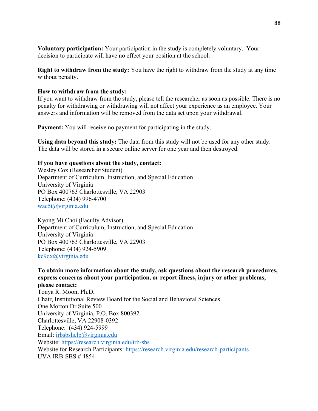**Voluntary participation:** Your participation in the study is completely voluntary. Your decision to participate will have no effect your position at the school.

**Right to withdraw from the study:** You have the right to withdraw from the study at any time without penalty.

#### **How to withdraw from the study:**

If you want to withdraw from the study, please tell the researcher as soon as possible. There is no penalty for withdrawing or withdrawing will not affect your experience as an employee. Your answers and information will be removed from the data set upon your withdrawal.

**Payment:** You will receive no payment for participating in the study.

**Using data beyond this study:** The data from this study will not be used for any other study. The data will be stored in a secure online server for one year and then destroyed.

#### **If you have questions about the study, contact:**

Wesley Cox (Researcher/Student) Department of Curriculum, Instruction, and Special Education University of Virginia PO Box 400763 Charlottesville, VA 22903 Telephone: (434) 996-4700 wac5t@virginia.edu

Kyong Mi Choi (Faculty Advisor) Department of Curriculum, Instruction, and Special Education University of Virginia PO Box 400763 Charlottesville, VA 22903 Telephone: (434) 924-5909 kc9dx@virginia.edu

# **To obtain more information about the study, ask questions about the research procedures, express concerns about your participation, or report illness, injury or other problems, please contact:**

Tonya R. Moon, Ph.D. Chair, Institutional Review Board for the Social and Behavioral Sciences One Morton Dr Suite 500 University of Virginia, P.O. Box 800392 Charlottesville, VA 22908-0392 Telephone: (434) 924-5999 Email: irbsbshelp@virginia.edu Website: https://research.virginia.edu/irb-sbs Website for Research Participants: https://research.virginia.edu/research-participants UVA IRB-SBS # 4854